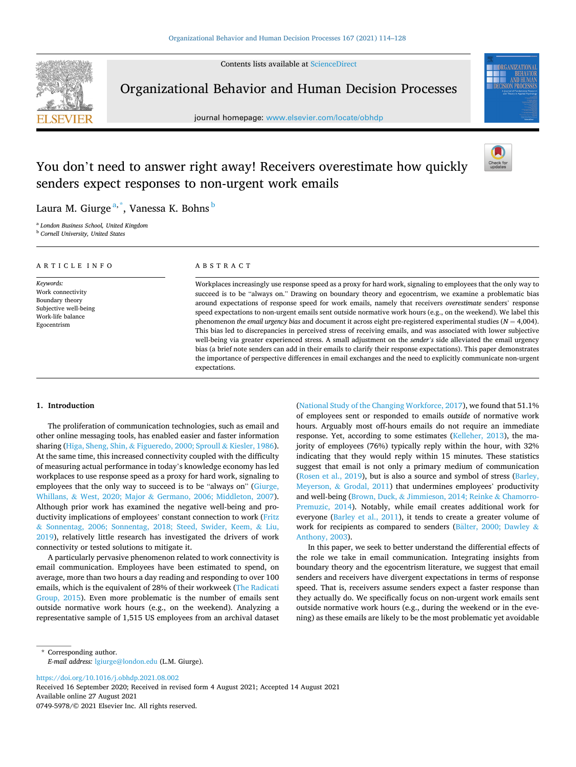Contents lists available at [ScienceDirect](www.sciencedirect.com/science/journal/07495978)



Organizational Behavior and Human Decision Processes

journal homepage: [www.elsevier.com/locate/obhdp](https://www.elsevier.com/locate/obhdp) 



# You don't need to answer right away! Receivers overestimate how quickly senders expect responses to non-urgent work emails

expectations.



Laura M. Giurge <sup>a, \*</sup>, Vanessa K. Bohns <sup>b</sup>

<sup>a</sup> *London Business School, United Kingdom* <sup>b</sup> *Cornell University, United States* 

| ARTICLE INFO                                                                                                   | ABSTRACT                                                                                                                                                                                                                                                                                                                                                                                                                                                                                                                                                                                                                                                                                                                                                                                                                                                                                                                                                                                                                                                                           |  |  |  |
|----------------------------------------------------------------------------------------------------------------|------------------------------------------------------------------------------------------------------------------------------------------------------------------------------------------------------------------------------------------------------------------------------------------------------------------------------------------------------------------------------------------------------------------------------------------------------------------------------------------------------------------------------------------------------------------------------------------------------------------------------------------------------------------------------------------------------------------------------------------------------------------------------------------------------------------------------------------------------------------------------------------------------------------------------------------------------------------------------------------------------------------------------------------------------------------------------------|--|--|--|
| Keywords:<br>Work connectivity<br>Boundary theory<br>Subjective well-being<br>Work-life balance<br>Egocentrism | Workplaces increasingly use response speed as a proxy for hard work, signaling to employees that the only way to<br>succeed is to be "always on." Drawing on boundary theory and egocentrism, we examine a problematic bias<br>around expectations of response speed for work emails, namely that receivers <i>overestimate</i> senders' response<br>speed expectations to non-urgent emails sent outside normative work hours (e.g., on the weekend). We label this<br>phenomenon the email urgency bias and document it across eight pre-registered experimental studies ( $N = 4,004$ ).<br>This bias led to discrepancies in perceived stress of receiving emails, and was associated with lower subjective<br>well-being via greater experienced stress. A small adjustment on the <i>sender's</i> side alleviated the email urgency<br>bias (a brief note senders can add in their emails to clarify their response expectations). This paper demonstrates<br>the importance of perspective differences in email exchanges and the need to explicitly communicate non-urgent |  |  |  |

### **1. Introduction**

The proliferation of communication technologies, such as email and other online messaging tools, has enabled easier and faster information sharing (Higa, Sheng, Shin, & [Figueredo, 2000; Sproull](#page-13-0) & Kiesler, 1986). At the same time, this increased connectivity coupled with the difficulty of measuring actual performance in today's knowledge economy has led workplaces to use response speed as a proxy for hard work, signaling to employees that the only way to succeed is to be "always on" ([Giurge,](#page-13-0)  Whillans, & West, 2020; Major & [Germano, 2006; Middleton, 2007](#page-13-0)). Although prior work has examined the negative well-being and productivity implications of employees' constant connection to work [\(Fritz](#page-13-0)  & [Sonnentag, 2006; Sonnentag, 2018; Steed, Swider, Keem,](#page-13-0) & Liu, [2019\)](#page-13-0), relatively little research has investigated the drivers of work connectivity or tested solutions to mitigate it.

A particularly pervasive phenomenon related to work connectivity is email communication. Employees have been estimated to spend, on average, more than two hours a day reading and responding to over 100 emails, which is the equivalent of 28% of their workweek [\(The Radicati](#page-14-0)  [Group, 2015\)](#page-14-0). Even more problematic is the number of emails sent outside normative work hours (e.g., on the weekend). Analyzing a representative sample of 1,515 US employees from an archival dataset ([National Study of the Changing Workforce, 2017\)](#page-13-0), we found that 51.1% of employees sent or responded to emails *outside* of normative work hours. Arguably most off-hours emails do not require an immediate response. Yet, according to some estimates ([Kelleher, 2013](#page-13-0)), the majority of employees (76%) typically reply within the hour, with 32% indicating that they would reply within 15 minutes. These statistics suggest that email is not only a primary medium of communication ([Rosen et al., 2019](#page-14-0)), but is also a source and symbol of stress ([Barley,](#page-13-0)  Meyerson, & [Grodal, 2011](#page-13-0)) that undermines employees' productivity and well-being (Brown, Duck, & [Jimmieson, 2014; Reinke](#page-13-0) & Chamorro-[Premuzic, 2014\)](#page-13-0). Notably, while email creates additional work for everyone ([Barley et al., 2011](#page-13-0)), it tends to create a greater volume of work for recipients as compared to senders (Balter, [2000; Dawley](#page-13-0) & [Anthony, 2003](#page-13-0)).

In this paper, we seek to better understand the differential effects of the role we take in email communication. Integrating insights from boundary theory and the egocentrism literature, we suggest that email senders and receivers have divergent expectations in terms of response speed. That is, receivers assume senders expect a faster response than they actually do. We specifically focus on non-urgent work emails sent outside normative work hours (e.g., during the weekend or in the evening) as these emails are likely to be the most problematic yet avoidable

<https://doi.org/10.1016/j.obhdp.2021.08.002>

Available online 27 August 2021 0749-5978/© 2021 Elsevier Inc. All rights reserved. Received 16 September 2020; Received in revised form 4 August 2021; Accepted 14 August 2021

<sup>\*</sup> Corresponding author. *E-mail address:* [lgiurge@london.edu](mailto:lgiurge@london.edu) (L.M. Giurge).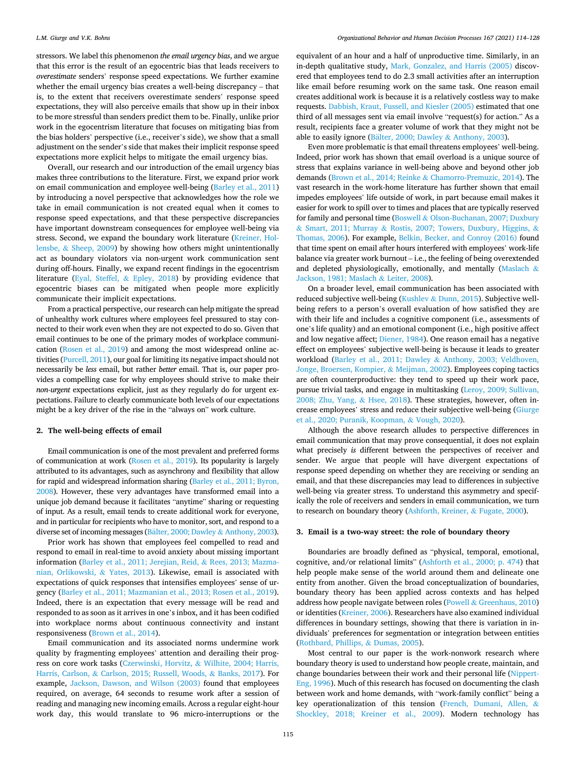stressors. We label this phenomenon *the email urgency bias*, and we argue that this error is the result of an egocentric bias that leads receivers to *overestimate* senders' response speed expectations. We further examine whether the email urgency bias creates a well-being discrepancy – that is, to the extent that receivers overestimate senders' response speed expectations, they will also perceive emails that show up in their inbox to be more stressful than senders predict them to be. Finally, unlike prior work in the egocentrism literature that focuses on mitigating bias from the bias holders' perspective (i.e., receiver's side), we show that a small adjustment on the sender's side that makes their implicit response speed expectations more explicit helps to mitigate the email urgency bias.

Overall, our research and our introduction of the email urgency bias makes three contributions to the literature. First, we expand prior work on email communication and employee well-being [\(Barley et al., 2011\)](#page-13-0) by introducing a novel perspective that acknowledges how the role we take in email communication is not created equal when it comes to response speed expectations, and that these perspective discrepancies have important downstream consequences for employee well-being via stress. Second, we expand the boundary work literature [\(Kreiner, Hol](#page-13-0)lensbe, & [Sheep, 2009](#page-13-0)) by showing how others might unintentionally act as boundary violators via non-urgent work communication sent during off-hours. Finally, we expand recent findings in the egocentrism literature [\(Eyal, Steffel,](#page-13-0) & Epley, 2018) by providing evidence that egocentric biases can be mitigated when people more explicitly communicate their implicit expectations.

From a practical perspective, our research can help mitigate the spread of unhealthy work cultures where employees feel pressured to stay connected to their work even when they are not expected to do so. Given that email continues to be one of the primary modes of workplace communication ([Rosen et al., 2019](#page-14-0)) and among the most widespread online activities [\(Purcell, 2011\)](#page-14-0), our goal for limiting its negative impact should not necessarily be *less* email, but rather *better* email. That is, our paper provides a compelling case for why employees should strive to make their *non-urgent* expectations explicit, just as they regularly do for urgent expectations. Failure to clearly communicate both levels of our expectations might be a key driver of the rise in the "always on" work culture.

### **2. The well-being effects of email**

Email communication is one of the most prevalent and preferred forms of communication at work [\(Rosen et al., 2019\)](#page-14-0). Its popularity is largely attributed to its advantages, such as asynchrony and flexibility that allow for rapid and widespread information sharing [\(Barley et al., 2011; Byron,](#page-13-0)  [2008](#page-13-0)). However, these very advantages have transformed email into a unique job demand because it facilitates "anytime" sharing or requesting of input. As a result, email tends to create additional work for everyone, and in particular for recipients who have to monitor, sort, and respond to a diverse set of incoming messages (Bä[lter, 2000; Dawley](#page-13-0) & Anthony, 2003).

Prior work has shown that employees feel compelled to read and respond to email in real-time to avoid anxiety about missing important information ([Barley et al., 2011; Jerejian, Reid,](#page-13-0) & Rees, 2013; Mazma[nian, Orlikowski,](#page-13-0) & Yates, 2013). Likewise, email is associated with expectations of quick responses that intensifies employees' sense of urgency [\(Barley et al., 2011; Mazmanian et al., 2013; Rosen et al., 2019](#page-13-0)). Indeed, there is an expectation that every message will be read and responded to as soon as it arrives in one's inbox, and it has been codified into workplace norms about continuous connectivity and instant responsiveness [\(Brown et al., 2014\)](#page-13-0).

Email communication and its associated norms undermine work quality by fragmenting employees' attention and derailing their progress on core work tasks (Czerwinski, Horvitz, & [Wilhite, 2004; Harris,](#page-13-0)  Harris, Carlson, & [Carlson, 2015; Russell, Woods,](#page-13-0) & Banks, 2017). For example, [Jackson, Dawson, and Wilson \(2003\)](#page-13-0) found that employees required, on average, 64 seconds to resume work after a session of reading and managing new incoming emails. Across a regular eight-hour work day, this would translate to 96 micro-interruptions or the

equivalent of an hour and a half of unproductive time. Similarly, in an in-depth qualitative study, [Mark, Gonzalez, and Harris \(2005\)](#page-13-0) discovered that employees tend to do 2.3 small activities after an interruption like email before resuming work on the same task. One reason email creates additional work is because it is a relatively costless way to make requests. [Dabbish, Kraut, Fussell, and Kiesler \(2005\)](#page-13-0) estimated that one third of all messages sent via email involve "request(s) for action." As a result, recipients face a greater volume of work that they might not be able to easily ignore (Bälter, 2000; Dawley & [Anthony, 2003\)](#page-13-0).

Even more problematic is that email threatens employees' well-being. Indeed, prior work has shown that email overload is a unique source of stress that explains variance in well-being above and beyond other job demands ([Brown et al., 2014; Reinke](#page-13-0) & Chamorro-Premuzic, 2014). The vast research in the work-home literature has further shown that email impedes employees' life outside of work, in part because email makes it easier for work to spill over to times and places that are typically reserved for family and personal time (Boswell & [Olson-Buchanan, 2007; Duxbury](#page-13-0)  & Smart, 2011; Murray & [Rostis, 2007; Towers, Duxbury, Higgins,](#page-13-0) & [Thomas, 2006\)](#page-13-0). For example, [Belkin, Becker, and Conroy \(2016\)](#page-13-0) found that time spent on email after hours interfered with employees' work-life balance via greater work burnout – i.e., the feeling of being overextended and depleted physiologically, emotionally, and mentally ([Maslach](#page-13-0) & [Jackson, 1981; Maslach](#page-13-0) & Leiter, 2008).

On a broader level, email communication has been associated with reduced subjective well-being (Kushlev & [Dunn, 2015\)](#page-13-0). Subjective wellbeing refers to a person's overall evaluation of how satisfied they are with their life and includes a cognitive component (i.e., assessments of one's life quality) and an emotional component (i.e., high positive affect and low negative affect; [Diener, 1984\)](#page-13-0). One reason email has a negative effect on employees' subjective well-being is because it leads to greater workload [\(Barley et al., 2011; Dawley](#page-13-0) & Anthony, 2003; Veldhoven, [Jonge, Broersen, Kompier,](#page-13-0) & Meijman, 2002). Employees coping tactics are often counterproductive: they tend to speed up their work pace, pursue trivial tasks, and engage in multitasking ([Leroy, 2009; Sullivan,](#page-13-0)  [2008; Zhu, Yang,](#page-13-0) & Hsee, 2018). These strategies, however, often increase employees' stress and reduce their subjective well-being ([Giurge](#page-13-0)  [et al., 2020; Puranik, Koopman,](#page-13-0) & Vough, 2020).

Although the above research alludes to perspective differences in email communication that may prove consequential, it does not explain what precisely *is* different between the perspectives of receiver and sender. We argue that people will have divergent expectations of response speed depending on whether they are receiving or sending an email, and that these discrepancies may lead to differences in subjective well-being via greater stress. To understand this asymmetry and specifically the role of receivers and senders in email communication, we turn to research on boundary theory [\(Ashforth, Kreiner,](#page-13-0) & Fugate, 2000).

### **3. Email is a two-way street: the role of boundary theory**

Boundaries are broadly defined as "physical, temporal, emotional, cognitive, and/or relational limits" [\(Ashforth et al., 2000; p. 474\)](#page-13-0) that help people make sense of the world around them and delineate one entity from another. Given the broad conceptualization of boundaries, boundary theory has been applied across contexts and has helped address how people navigate between roles (Powell & [Greenhaus, 2010\)](#page-14-0) or identities [\(Kreiner, 2006](#page-13-0)). Researchers have also examined individual differences in boundary settings, showing that there is variation in individuals' preferences for segmentation or integration between entities ([Rothbard, Phillips,](#page-14-0) & Dumas, 2005).

Most central to our paper is the work-nonwork research where boundary theory is used to understand how people create, maintain, and change boundaries between their work and their personal life [\(Nippert-](#page-13-0)[Eng, 1996](#page-13-0)). Much of this research has focused on documenting the clash between work and home demands, with "work-family conflict" being a key operationalization of this tension [\(French, Dumani, Allen,](#page-13-0) & [Shockley, 2018; Kreiner et al., 2009\)](#page-13-0). Modern technology has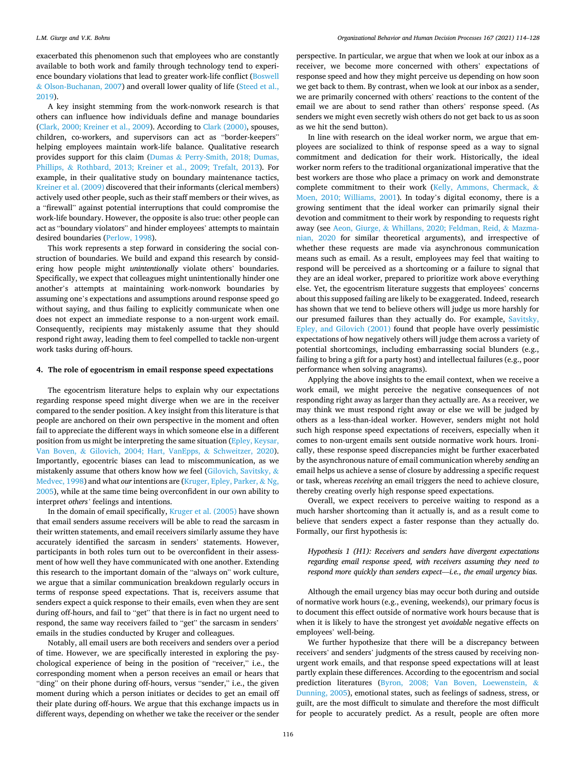exacerbated this phenomenon such that employees who are constantly available to both work and family through technology tend to experience boundary violations that lead to greater work-life conflict [\(Boswell](#page-13-0)  & [Olson-Buchanan, 2007\)](#page-13-0) and overall lower quality of life ([Steed et al.,](#page-14-0)  [2019\)](#page-14-0).

A key insight stemming from the work-nonwork research is that others can influence how individuals define and manage boundaries ([Clark, 2000; Kreiner et al., 2009\)](#page-13-0). According to [Clark \(2000\)](#page-13-0), spouses, children, co-workers, and supervisors can act as "border-keepers" helping employees maintain work-life balance. Qualitative research provides support for this claim (Dumas & [Perry-Smith, 2018; Dumas,](#page-13-0)  Phillips, & [Rothbard, 2013; Kreiner et al., 2009; Trefalt, 2013](#page-13-0)). For example, in their qualitative study on boundary maintenance tactics, [Kreiner et al. \(2009\)](#page-13-0) discovered that their informants (clerical members) actively used other people, such as their staff members or their wives, as a "firewall" against potential interruptions that could compromise the work-life boundary. However, the opposite is also true: other people can act as "boundary violators" and hinder employees' attempts to maintain desired boundaries ([Perlow, 1998](#page-14-0)).

This work represents a step forward in considering the social construction of boundaries. We build and expand this research by considering how people might *unintentionally* violate others' boundaries. Specifically, we expect that colleagues might unintentionally hinder one another's attempts at maintaining work-nonwork boundaries by assuming one's expectations and assumptions around response speed go without saying, and thus failing to explicitly communicate when one does not expect an immediate response to a non-urgent work email. Consequently, recipients may mistakenly assume that they should respond right away, leading them to feel compelled to tackle non-urgent work tasks during off-hours.

### **4. The role of egocentrism in email response speed expectations**

The egocentrism literature helps to explain why our expectations regarding response speed might diverge when we are in the receiver compared to the sender position. A key insight from this literature is that people are anchored on their own perspective in the moment and often fail to appreciate the different ways in which someone else in a different position from us might be interpreting the same situation (Epley, Keysar, Van Boven, & [Gilovich, 2004; Hart, VanEpps,](#page-13-0) & Schweitzer, 2020). Importantly, egocentric biases can lead to miscommunication, as we mistakenly assume that others know how *we* feel ([Gilovich, Savitsky,](#page-13-0) & [Medvec, 1998\)](#page-13-0) and what *our* intentions are ([Kruger, Epley, Parker,](#page-13-0) & Ng, [2005\)](#page-13-0), while at the same time being overconfident in our own ability to interpret *others'* feelings and intentions.

In the domain of email specifically, [Kruger et al. \(2005\)](#page-13-0) have shown that email senders assume receivers will be able to read the sarcasm in their written statements, and email receivers similarly assume they have accurately identified the sarcasm in senders' statements. However, participants in both roles turn out to be overconfident in their assessment of how well they have communicated with one another. Extending this research to the important domain of the "always on" work culture, we argue that a similar communication breakdown regularly occurs in terms of response speed expectations. That is, receivers assume that senders expect a quick response to their emails, even when they are sent during off-hours, and fail to "get" that there is in fact no urgent need to respond, the same way receivers failed to "get" the sarcasm in senders' emails in the studies conducted by Kruger and colleagues.

Notably, all email users are both receivers and senders over a period of time. However, we are specifically interested in exploring the psychological experience of being in the position of "receiver," i.e., the corresponding moment when a person receives an email or hears that "ding" on their phone during off-hours, versus "sender," i.e., the given moment during which a person initiates or decides to get an email off their plate during off-hours. We argue that this exchange impacts us in different ways, depending on whether we take the receiver or the sender

perspective. In particular, we argue that when we look at our inbox as a receiver, we become more concerned with others' expectations of response speed and how they might perceive us depending on how soon we get back to them. By contrast, when we look at our inbox as a sender, we are primarily concerned with others' reactions to the content of the email we are about to send rather than others' response speed. (As senders we might even secretly wish others do not get back to us as soon as we hit the send button).

In line with research on the ideal worker norm, we argue that employees are socialized to think of response speed as a way to signal commitment and dedication for their work. Historically, the ideal worker norm refers to the traditional organizational imperative that the best workers are those who place a primacy on work and demonstrate complete commitment to their work [\(Kelly, Ammons, Chermack,](#page-13-0) & [Moen, 2010; Williams, 2001](#page-13-0)). In today's digital economy, there is a growing sentiment that the ideal worker can primarily signal their devotion and commitment to their work by responding to requests right away (see Aeon, Giurge, & [Whillans, 2020; Feldman, Reid,](#page-13-0) & Mazma[nian, 2020](#page-13-0) for similar theoretical arguments), and irrespective of whether these requests are made via asynchronous communication means such as email. As a result, employees may feel that waiting to respond will be perceived as a shortcoming or a failure to signal that they are an ideal worker, prepared to prioritize work above everything else. Yet, the egocentrism literature suggests that employees' concerns about this supposed failing are likely to be exaggerated. Indeed, research has shown that we tend to believe others will judge us more harshly for our presumed failures than they actually do. For example, [Savitsky,](#page-14-0)  [Epley, and Gilovich \(2001\)](#page-14-0) found that people have overly pessimistic expectations of how negatively others will judge them across a variety of potential shortcomings, including embarrassing social blunders (e.g., failing to bring a gift for a party host) and intellectual failures (e.g., poor performance when solving anagrams).

Applying the above insights to the email context, when we receive a work email, we might perceive the negative consequences of not responding right away as larger than they actually are. As a receiver, we may think we must respond right away or else we will be judged by others as a less-than-ideal worker. However, senders might not hold such high response speed expectations of receivers, especially when it comes to non-urgent emails sent outside normative work hours. Ironically, these response speed discrepancies might be further exacerbated by the asynchronous nature of email communication whereby *sending* an email helps us achieve a sense of closure by addressing a specific request or task, whereas *receiving* an email triggers the need to achieve closure, thereby creating overly high response speed expectations.

Overall, we expect receivers to perceive waiting to respond as a much harsher shortcoming than it actually is, and as a result come to believe that senders expect a faster response than they actually do. Formally, our first hypothesis is:

*Hypothesis 1 (H1): Receivers and senders have divergent expectations regarding email response speed, with receivers assuming they need to respond more quickly than senders expect*––*i.e., the email urgency bias.* 

Although the email urgency bias may occur both during and outside of normative work hours (e.g., evening, weekends), our primary focus is to document this effect outside of normative work hours because that is when it is likely to have the strongest yet *avoidable* negative effects on employees' well-being.

We further hypothesize that there will be a discrepancy between receivers' and senders' judgments of the stress caused by receiving nonurgent work emails, and that response speed expectations will at least partly explain these differences. According to the egocentrism and social prediction literatures ([Byron, 2008; Van Boven, Loewenstein,](#page-13-0) & [Dunning, 2005](#page-13-0)), emotional states, such as feelings of sadness, stress, or guilt, are the most difficult to simulate and therefore the most difficult for people to accurately predict. As a result, people are often more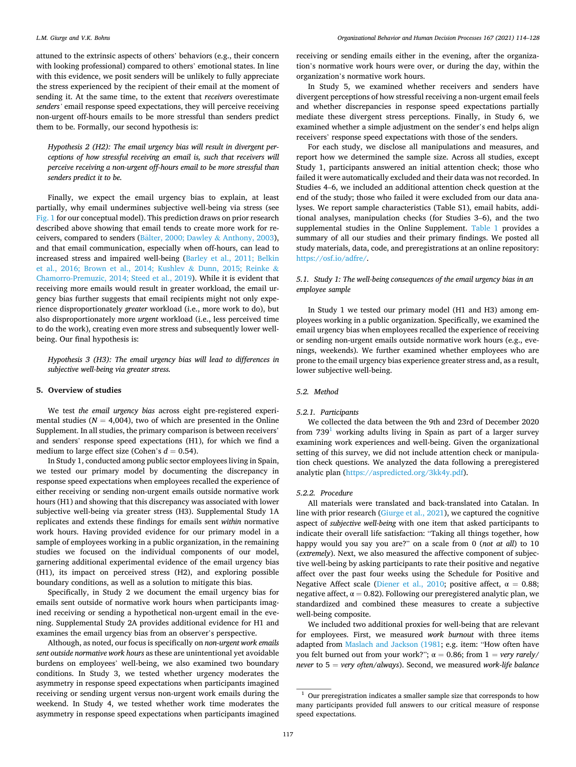attuned to the extrinsic aspects of others' behaviors (e.g., their concern with looking professional) compared to others' emotional states. In line with this evidence, we posit senders will be unlikely to fully appreciate the stress experienced by the recipient of their email at the moment of sending it. At the same time, to the extent that *receivers* overestimate *senders'* email response speed expectations, they will perceive receiving non-urgent off-hours emails to be more stressful than senders predict them to be. Formally, our second hypothesis is:

*Hypothesis 2 (H2): The email urgency bias will result in divergent perceptions of how stressful receiving an email is, such that receivers will perceive receiving a non-urgent off-hours email to be more stressful than senders predict it to be.* 

Finally, we expect the email urgency bias to explain, at least partially, why email undermines subjective well-being via stress (see [Fig. 1](#page-4-0) for our conceptual model). This prediction draws on prior research described above showing that email tends to create more work for re-ceivers, compared to senders (Bälter, 2000; Dawley & [Anthony, 2003](#page-13-0)), and that email communication, especially when off-hours, can lead to increased stress and impaired well-being [\(Barley et al., 2011; Belkin](#page-13-0)  [et al., 2016; Brown et al., 2014; Kushlev](#page-13-0) & Dunn, 2015; Reinke & [Chamorro-Premuzic, 2014; Steed et al., 2019\)](#page-13-0). While it is evident that receiving more emails would result in greater workload, the email urgency bias further suggests that email recipients might not only experience disproportionately *greater* workload (i.e., more work to do), but also disproportionately more *urgent* workload (i.e., less perceived time to do the work), creating even more stress and subsequently lower wellbeing. Our final hypothesis is:

*Hypothesis 3 (H3): The email urgency bias will lead to differences in subjective well-being via greater stress.* 

#### **5. Overview of studies**

We test *the email urgency bias* across eight pre-registered experimental studies ( $N = 4,004$ ), two of which are presented in the Online Supplement. In all studies, the primary comparison is between receivers' and senders' response speed expectations (H1), for which we find a medium to large effect size (Cohen's  $d = 0.54$ ).

In Study 1, conducted among public sector employees living in Spain, we tested our primary model by documenting the discrepancy in response speed expectations when employees recalled the experience of either receiving or sending non-urgent emails outside normative work hours (H1) and showing that this discrepancy was associated with lower subjective well-being via greater stress (H3). Supplemental Study 1A replicates and extends these findings for emails sent *within* normative work hours. Having provided evidence for our primary model in a sample of employees working in a public organization, in the remaining studies we focused on the individual components of our model, garnering additional experimental evidence of the email urgency bias (H1), its impact on perceived stress (H2), and exploring possible boundary conditions, as well as a solution to mitigate this bias.

Specifically, in Study 2 we document the email urgency bias for emails sent outside of normative work hours when participants imagined receiving or sending a hypothetical non-urgent email in the evening. Supplemental Study 2A provides additional evidence for H1 and examines the email urgency bias from an observer's perspective.

Although, as noted, our focus is specifically on *non-urgent work emails sent outside normative work hours* as these are unintentional yet avoidable burdens on employees' well-being, we also examined two boundary conditions. In Study 3, we tested whether urgency moderates the asymmetry in response speed expectations when participants imagined receiving or sending urgent versus non-urgent work emails during the weekend. In Study 4, we tested whether work time moderates the asymmetry in response speed expectations when participants imagined

receiving or sending emails either in the evening, after the organization's normative work hours were over, or during the day, within the organization's normative work hours.

In Study 5, we examined whether receivers and senders have divergent perceptions of how stressful receiving a non-urgent email feels and whether discrepancies in response speed expectations partially mediate these divergent stress perceptions. Finally, in Study 6, we examined whether a simple adjustment on the sender's end helps align receivers' response speed expectations with those of the senders.

For each study, we disclose all manipulations and measures, and report how we determined the sample size. Across all studies, except Study 1, participants answered an initial attention check; those who failed it were automatically excluded and their data was not recorded. In Studies 4–6, we included an additional attention check question at the end of the study; those who failed it were excluded from our data analyses. We report sample characteristics (Table S1), email habits, additional analyses, manipulation checks (for Studies 3–6), and the two supplemental studies in the Online Supplement. [Table 1](#page-4-0) provides a summary of all our studies and their primary findings. We posted all study materials, data, code, and preregistrations at an online repository: <https://osf.io/adfre/>.

### *5.1. Study 1: The well-being consequences of the email urgency bias in an employee sample*

In Study 1 we tested our primary model (H1 and H3) among employees working in a public organization. Specifically, we examined the email urgency bias when employees recalled the experience of receiving or sending non-urgent emails outside normative work hours (e.g., evenings, weekends). We further examined whether employees who are prone to the email urgency bias experience greater stress and, as a result, lower subjective well-being.

### *5.2. Method*

#### *5.2.1. Participants*

We collected the data between the 9th and 23rd of December 2020 from  $739<sup>1</sup>$  working adults living in Spain as part of a larger survey examining work experiences and well-being. Given the organizational setting of this survey, we did not include attention check or manipulation check questions. We analyzed the data following a preregistered analytic plan (<https://aspredicted.org/3kk4y.pdf>).

### *5.2.2. Procedure*

All materials were translated and back-translated into Catalan. In line with prior research [\(Giurge et al., 2021](#page-13-0)), we captured the cognitive aspect of *subjective well-being* with one item that asked participants to indicate their overall life satisfaction: "Taking all things together, how happy would you say you are?" on a scale from 0 (*not at all*) to 10 (*extremely*). Next, we also measured the affective component of subjective well-being by asking participants to rate their positive and negative affect over the past four weeks using the Schedule for Positive and Negative Affect scale ([Diener et al., 2010](#page-13-0); positive affect,  $\alpha = 0.88$ ; negative affect,  $\alpha = 0.82$ ). Following our preregistered analytic plan, we standardized and combined these measures to create a subjective well-being composite.

We included two additional proxies for well-being that are relevant for employees. First, we measured *work burnout* with three items adapted from [Maslach and Jackson \(1981](#page-13-0); e.g. item: "How often have you felt burned out from your work?";  $\alpha = 0.86$ ; from  $1 = \text{very rarely/}$ *never* to 5 = *very often/always*). Second, we measured *work-life balance* 

 $^{\rm 1}$  Our preregistration indicates a smaller sample size that corresponds to how many participants provided full answers to our critical measure of response speed expectations.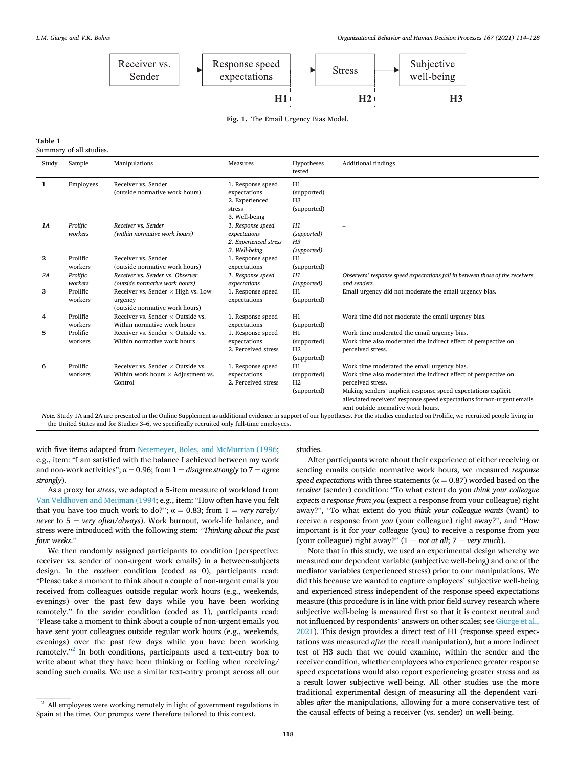<span id="page-4-0"></span>

**Fig. 1.** The Email Urgency Bias Model.

## **Table 1**

Summary of all studies.

| Study | Sample              | Manipulations                                                                                    | Measures                                                                       | Hypotheses<br>tested                               | <b>Additional findings</b>                                                                                                                                                                                                                                                                                           |
|-------|---------------------|--------------------------------------------------------------------------------------------------|--------------------------------------------------------------------------------|----------------------------------------------------|----------------------------------------------------------------------------------------------------------------------------------------------------------------------------------------------------------------------------------------------------------------------------------------------------------------------|
| 1     | Employees           | Receiver vs. Sender<br>(outside normative work hours)                                            | 1. Response speed<br>expectations<br>2. Experienced<br>stress<br>3. Well-being | H1<br>(supported)<br>H <sub>3</sub><br>(supported) |                                                                                                                                                                                                                                                                                                                      |
| 1A    | Prolific<br>workers | Receiver vs. Sender<br>(within normative work hours)                                             | 1. Response speed<br>expectations<br>2. Experienced stress<br>3. Well-being    | H1<br>(supported)<br>H <sub>3</sub><br>(supported) |                                                                                                                                                                                                                                                                                                                      |
| 2     | Prolific<br>workers | Receiver vs. Sender<br>(outside normative work hours)                                            | 1. Response speed<br>expectations                                              | H1<br>(supported)                                  |                                                                                                                                                                                                                                                                                                                      |
| 2A    | Prolific<br>workers | Receiver vs. Sender vs. Observer<br>(outside normative work hours)                               | 1. Response speed<br>expectations                                              | H1<br>(supported)                                  | Observers' response speed expectations fall in between those of the receivers<br>and senders.                                                                                                                                                                                                                        |
| 3     | Prolific<br>workers | Receiver vs. Sender $\times$ High vs. Low<br>urgency<br>(outside normative work hours)           | 1. Response speed<br>expectations                                              | H1<br>(supported)                                  | Email urgency did not moderate the email urgency bias.                                                                                                                                                                                                                                                               |
| 4     | Prolific<br>workers | Receiver vs. Sender $\times$ Outside vs.<br>Within normative work hours                          | 1. Response speed<br>expectations                                              | H1<br>(supported)                                  | Work time did not moderate the email urgency bias.                                                                                                                                                                                                                                                                   |
| 5     | Prolific<br>workers | Receiver vs. Sender $\times$ Outside vs.<br>Within normative work hours                          | 1. Response speed<br>expectations<br>2. Perceived stress                       | H1<br>(supported)<br>H <sub>2</sub><br>(supported) | Work time moderated the email urgency bias.<br>Work time also moderated the indirect effect of perspective on<br>perceived stress.                                                                                                                                                                                   |
| 6     | Prolific<br>workers | Receiver vs. Sender $\times$ Outside vs.<br>Within work hours $\times$ Adjustment vs.<br>Control | 1. Response speed<br>expectations<br>2. Perceived stress                       | H1<br>(supported)<br>H <sub>2</sub><br>(supported) | Work time moderated the email urgency bias.<br>Work time also moderated the indirect effect of perspective on<br>perceived stress.<br>Making senders' implicit response speed expectations explicit<br>alleviated receivers' response speed expectations for non-urgent emails<br>sent outside normative work hours. |

*Note.* Study 1A and 2A are presented in the Online Supplement as additional evidence in support of our hypotheses. For the studies conducted on Prolific, we recruited people living in the United States and for Studies 3–6, we specifically recruited only full-time employees.

with five items adapted from [Netemeyer, Boles, and McMurrian \(1996](#page-13-0); e.g., item: "I am satisfied with the balance I achieved between my work and non-work activities";  $\alpha = 0.96$ ; from  $1 =$  *disagree strongly* to  $7 =$  *agree strongly*).

As a proxy for *stress*, we adapted a 5-item measure of workload from [Van Veldhoven and Meijman \(1994](#page-14-0); e.g., item: "How often have you felt that you have too much work to do?";  $\alpha = 0.83$ ; from  $1 = \text{very rarely}$ *never* to 5 = *very often/always*). Work burnout, work-life balance, and stress were introduced with the following stem: "*Thinking about the past four weeks*."

We then randomly assigned participants to condition (perspective: receiver vs. sender of non-urgent work emails) in a between-subjects design. In the *receiver* condition (coded as 0), participants read: "Please take a moment to think about a couple of non-urgent emails you received from colleagues outside regular work hours (e.g., weekends, evenings) over the past few days while you have been working remotely." In the *sender* condition (coded as 1), participants read: "Please take a moment to think about a couple of non-urgent emails you have sent your colleagues outside regular work hours (e.g., weekends, evenings) over the past few days while you have been working remotely."<sup>2</sup> In both conditions, participants used a text-entry box to write about what they have been thinking or feeling when receiving/ sending such emails. We use a similar text-entry prompt across all our

studies.

After participants wrote about their experience of either receiving or sending emails outside normative work hours, we measured *response speed expectations* with three statements ( $\alpha = 0.87$ ) worded based on the *receiver* (sender) condition: "To what extent do you *think your colleague expects a response from you* (expect a response from your colleague) right away?", "To what extent do you *think your colleague wants* (want) to receive a response from *you* (your colleague) right away?", and "How important is it for *your colleague* (you) to receive a response from *you*  (your colleague) right away?"  $(1 = not at all; 7 = very much)$ .

Note that in this study, we used an experimental design whereby we measured our dependent variable (subjective well-being) and one of the mediator variables (experienced stress) prior to our manipulations. We did this because we wanted to capture employees' subjective well-being and experienced stress independent of the response speed expectations measure (this procedure is in line with prior field survey research where subjective well-being is measured first so that it is context neutral and not influenced by respondents' answers on other scales; see [Giurge et al.,](#page-13-0)  [2021\)](#page-13-0). This design provides a direct test of H1 (response speed expectations was measured *after* the recall manipulation), but a more indirect test of H3 such that we could examine, within the sender and the receiver condition, whether employees who experience greater response speed expectations would also report experiencing greater stress and as a result lower subjective well-being. All other studies use the more traditional experimental design of measuring all the dependent variables *after* the manipulations, allowing for a more conservative test of the causal effects of being a receiver (vs. sender) on well-being.

<sup>&</sup>lt;sup>2</sup> All employees were working remotely in light of government regulations in Spain at the time. Our prompts were therefore tailored to this context.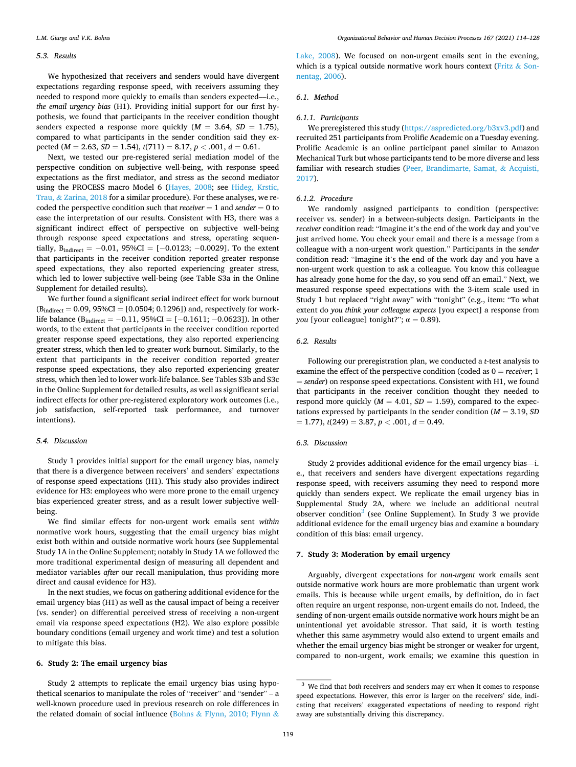#### *5.3. Results*

We hypothesized that receivers and senders would have divergent expectations regarding response speed, with receivers assuming they needed to respond more quickly to emails than senders expected––i.e., *the email urgency bias* (H1). Providing initial support for our first hypothesis, we found that participants in the receiver condition thought senders expected a response more quickly  $(M = 3.64, SD = 1.75)$ , compared to what participants in the sender condition said they expected ( $M = 2.63$ ,  $SD = 1.54$ ),  $t(711) = 8.17$ ,  $p < .001$ ,  $d = 0.61$ .

Next, we tested our pre-registered serial mediation model of the perspective condition on subjective well-being, with response speed expectations as the first mediator, and stress as the second mediator using the PROCESS macro Model 6 [\(Hayes, 2008](#page-13-0); see [Hideg, Krstic,](#page-13-0)  Trau, & [Zarina, 2018](#page-13-0) for a similar procedure). For these analyses, we recoded the perspective condition such that  $receiver = 1$  and  $sender = 0$  to ease the interpretation of our results. Consistent with H3, there was a significant indirect effect of perspective on subjective well-being through response speed expectations and stress, operating sequentially,  $B_{indirect} = -0.01$ ,  $95\%CI = [-0.0123; -0.0029]$ . To the extent that participants in the receiver condition reported greater response speed expectations, they also reported experiencing greater stress, which led to lower subjective well-being (see Table S3a in the Online Supplement for detailed results).

We further found a significant serial indirect effect for work burnout  $(B_{indirect} = 0.09, 95\% CI = [0.0504; 0.1296])$  and, respectively for worklife balance (B<sub>indirect</sub> =  $-0.11$ , 95%CI = [ $-0.1611$ ;  $-0.0623$ ]). In other words, to the extent that participants in the receiver condition reported greater response speed expectations, they also reported experiencing greater stress, which then led to greater work burnout. Similarly, to the extent that participants in the receiver condition reported greater response speed expectations, they also reported experiencing greater stress, which then led to lower work-life balance. See Tables S3b and S3c in the Online Supplement for detailed results, as well as significant serial indirect effects for other pre-registered exploratory work outcomes (i.e., job satisfaction, self-reported task performance, and turnover intentions).

### *5.4. Discussion*

Study 1 provides initial support for the email urgency bias, namely that there is a divergence between receivers' and senders' expectations of response speed expectations (H1). This study also provides indirect evidence for H3: employees who were more prone to the email urgency bias experienced greater stress, and as a result lower subjective wellbeing.

We find similar effects for non-urgent work emails sent *within*  normative work hours, suggesting that the email urgency bias might exist both within and outside normative work hours (see Supplemental Study 1A in the Online Supplement; notably in Study 1A we followed the more traditional experimental design of measuring all dependent and mediator variables *after* our recall manipulation, thus providing more direct and causal evidence for H3).

In the next studies, we focus on gathering additional evidence for the email urgency bias (H1) as well as the causal impact of being a receiver (vs. sender) on differential perceived stress of receiving a non-urgent email via response speed expectations (H2). We also explore possible boundary conditions (email urgency and work time) and test a solution to mitigate this bias.

### **6. Study 2: The email urgency bias**

Study 2 attempts to replicate the email urgency bias using hypothetical scenarios to manipulate the roles of "receiver" and "sender" – a well-known procedure used in previous research on role differences in the related domain of social influence (Bohns & [Flynn, 2010; Flynn](#page-13-0) &

[Lake, 2008](#page-13-0)). We focused on non-urgent emails sent in the evening, which is a typical outside normative work hours context [\(Fritz](#page-13-0) & Son[nentag, 2006](#page-13-0)).

#### *6.1. Method*

### *6.1.1. Participants*

We preregistered this study [\(https://aspredicted.org/b3xv3.pdf\)](https://aspredicted.org/b3xv3.pdf) and recruited 251 participants from Prolific Academic on a Tuesday evening. Prolific Academic is an online participant panel similar to Amazon Mechanical Turk but whose participants tend to be more diverse and less familiar with research studies ([Peer, Brandimarte, Samat,](#page-13-0) & Acquisti, [2017\)](#page-13-0).

#### *6.1.2. Procedure*

We randomly assigned participants to condition (perspective: receiver vs. sender) in a between-subjects design. Participants in the *receiver* condition read: "Imagine it's the end of the work day and you've just arrived home. You check your email and there is a message from a colleague with a non-urgent work question." Participants in the *sender*  condition read: "Imagine it's the end of the work day and you have a non-urgent work question to ask a colleague. You know this colleague has already gone home for the day, so you send off an email." Next, we measured response speed expectations with the 3-item scale used in Study 1 but replaced "right away" with "tonight" (e.g., item: "To what extent do *you think your colleague expects* [you expect] a response from *you* [your colleague] tonight?";  $\alpha = 0.89$ ).

### *6.2. Results*

Following our preregistration plan, we conducted a *t*-test analysis to examine the effect of the perspective condition (coded as 0 = *receiver*; 1 = *sender*) on response speed expectations. Consistent with H1, we found that participants in the receiver condition thought they needed to respond more quickly  $(M = 4.01, SD = 1.59)$ , compared to the expectations expressed by participants in the sender condition  $(M = 3.19, SD)$  $= 1.77$ ,  $t(249) = 3.87, p < .001, d = 0.49$ .

### *6.3. Discussion*

Study 2 provides additional evidence for the email urgency bias—i. e., that receivers and senders have divergent expectations regarding response speed, with receivers assuming they need to respond more quickly than senders expect. We replicate the email urgency bias in Supplemental Study 2A, where we include an additional neutral observer condition<sup>3</sup> (see Online Supplement). In Study 3 we provide additional evidence for the email urgency bias and examine a boundary condition of this bias: email urgency.

### **7. Study 3: Moderation by email urgency**

Arguably, divergent expectations for *non-urgent* work emails sent outside normative work hours are more problematic than urgent work emails. This is because while urgent emails, by definition, do in fact often require an urgent response, non-urgent emails do not. Indeed, the sending of non-urgent emails outside normative work hours might be an unintentional yet avoidable stressor. That said, it is worth testing whether this same asymmetry would also extend to urgent emails and whether the email urgency bias might be stronger or weaker for urgent, compared to non-urgent, work emails; we examine this question in

<sup>3</sup> We find that *both* receivers and senders may err when it comes to response speed expectations. However, this error is larger on the receivers' side, indicating that receivers' exaggerated expectations of needing to respond right away are substantially driving this discrepancy.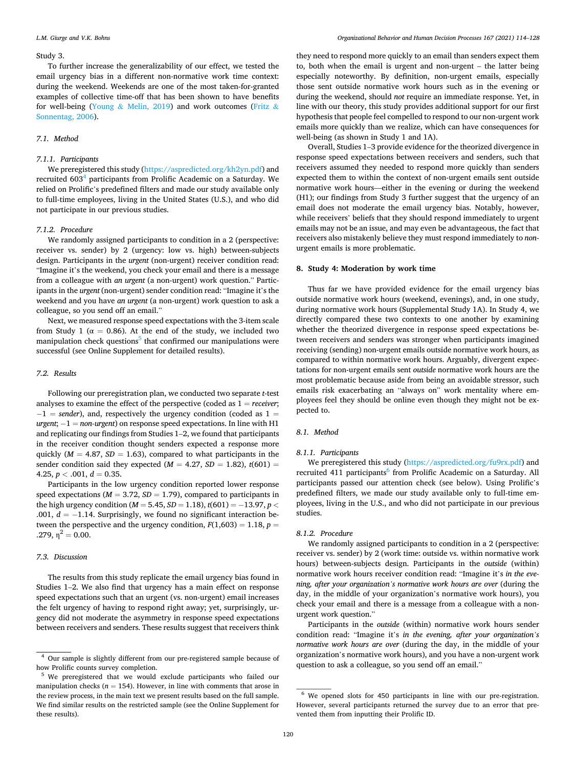#### Study 3.

To further increase the generalizability of our effect, we tested the email urgency bias in a different non-normative work time context: during the weekend. Weekends are one of the most taken-for-granted examples of collective time-off that has been shown to have benefits for well-being (Young & [Melin, 2019](#page-14-0)) and work outcomes [\(Fritz](#page-13-0) & [Sonnentag, 2006](#page-13-0)).

### *7.1. Method*

#### *7.1.1. Participants*

We preregistered this study [\(https://aspredicted.org/kh2yn.pdf\)](https://aspredicted.org/kh2yn.pdf) and recruited 603<sup>4</sup> participants from Prolific Academic on a Saturday. We relied on Prolific's predefined filters and made our study available only to full-time employees, living in the United States (U.S.), and who did not participate in our previous studies.

#### *7.1.2. Procedure*

We randomly assigned participants to condition in a 2 (perspective: receiver vs. sender) by 2 (urgency: low vs. high) between-subjects design. Participants in the *urgent* (non-urgent) receiver condition read: "Imagine it's the weekend, you check your email and there is a message from a colleague with *an urgent* (a non-urgent) work question." Participants in the *urgent* (non-urgent) sender condition read: "Imagine it's the weekend and you have *an urgent* (a non-urgent) work question to ask a colleague, so you send off an email."

Next, we measured response speed expectations with the 3-item scale from Study 1 ( $\alpha = 0.86$ ). At the end of the study, we included two manipulation check questions<sup>5</sup> that confirmed our manipulations were successful (see Online Supplement for detailed results).

### *7.2. Results*

Following our preregistration plan, we conducted two separate *t*-test analyses to examine the effect of the perspective (coded as 1 = *receiver*; − 1 = *sender*), and, respectively the urgency condition (coded as 1 = *urgent*; −1 = *non-urgent*) on response speed expectations. In line with H1 and replicating our findings from Studies 1–2, we found that participants in the receiver condition thought senders expected a response more quickly ( $M = 4.87$ ,  $SD = 1.63$ ), compared to what participants in the sender condition said they expected ( $M = 4.27$ ,  $SD = 1.82$ ),  $t(601) =$ 4.25,  $p < .001$ ,  $d = 0.35$ .

Participants in the low urgency condition reported lower response speed expectations ( $M = 3.72$ ,  $SD = 1.79$ ), compared to participants in the high urgency condition (*M* = 5.45, *SD* = 1.18), *t*(601) = − 13.97, *p <* .001, *d* = −1.14. Surprisingly, we found no significant interaction between the perspective and the urgency condition,  $F(1,603) = 1.18$ ,  $p =$ .279,  $n^2 = 0.00$ .

### *7.3. Discussion*

The results from this study replicate the email urgency bias found in Studies 1–2. We also find that urgency has a main effect on response speed expectations such that an urgent (vs. non-urgent) email increases the felt urgency of having to respond right away; yet, surprisingly, urgency did not moderate the asymmetry in response speed expectations between receivers and senders. These results suggest that receivers think

they need to respond more quickly to an email than senders expect them to, both when the email is urgent and non-urgent – the latter being especially noteworthy. By definition, non-urgent emails, especially those sent outside normative work hours such as in the evening or during the weekend, should *not* require an immediate response. Yet, in line with our theory, this study provides additional support for our first hypothesis that people feel compelled to respond to our non-urgent work emails more quickly than we realize, which can have consequences for well-being (as shown in Study 1 and 1A).

Overall, Studies 1–3 provide evidence for the theorized divergence in response speed expectations between receivers and senders, such that receivers assumed they needed to respond more quickly than senders expected them to within the context of non-urgent emails sent outside normative work hours—either in the evening or during the weekend (H1); our findings from Study 3 further suggest that the urgency of an email does not moderate the email urgency bias. Notably, however, while receivers' beliefs that they should respond immediately to urgent emails may not be an issue, and may even be advantageous, the fact that receivers also mistakenly believe they must respond immediately to *non*urgent emails is more problematic.

#### **8. Study 4: Moderation by work time**

Thus far we have provided evidence for the email urgency bias outside normative work hours (weekend, evenings), and, in one study, during normative work hours (Supplemental Study 1A). In Study 4, we directly compared these two contexts to one another by examining whether the theorized divergence in response speed expectations between receivers and senders was stronger when participants imagined receiving (sending) non-urgent emails outside normative work hours, as compared to within normative work hours. Arguably, divergent expectations for non-urgent emails sent *outside* normative work hours are the most problematic because aside from being an avoidable stressor, such emails risk exacerbating an "always on" work mentality where employees feel they should be online even though they might not be expected to.

#### *8.1. Method*

### *8.1.1. Participants*

We preregistered this study (<https://aspredicted.org/fu9rx.pdf>) and recruited 411 participants<sup>6</sup> from Prolific Academic on a Saturday. All participants passed our attention check (see below). Using Prolific's predefined filters, we made our study available only to full-time employees, living in the U.S., and who did not participate in our previous studies.

#### *8.1.2. Procedure*

We randomly assigned participants to condition in a 2 (perspective: receiver vs. sender) by 2 (work time: outside vs. within normative work hours) between-subjects design. Participants in the *outside* (within) normative work hours receiver condition read: "Imagine it's *in the evening, after your organization's normative work hours are over* (during the day, in the middle of your organization's normative work hours), you check your email and there is a message from a colleague with a nonurgent work question."

Participants in the *outside* (within) normative work hours sender condition read: "Imagine it's *in the evening, after your organization's normative work hours are over* (during the day, in the middle of your organization's normative work hours), and you have a non-urgent work question to ask a colleague, so you send off an email."

 $^4$  Our sample is slightly different from our pre-registered sample because of how Prolific counts survey completion.

<sup>&</sup>lt;sup>5</sup> We preregistered that we would exclude participants who failed our manipulation checks ( $n = 154$ ). However, in line with comments that arose in the review process, in the main text we present results based on the full sample. We find similar results on the restricted sample (see the Online Supplement for these results).

<sup>6</sup> We opened slots for 450 participants in line with our pre-registration. However, several participants returned the survey due to an error that prevented them from inputting their Prolific ID.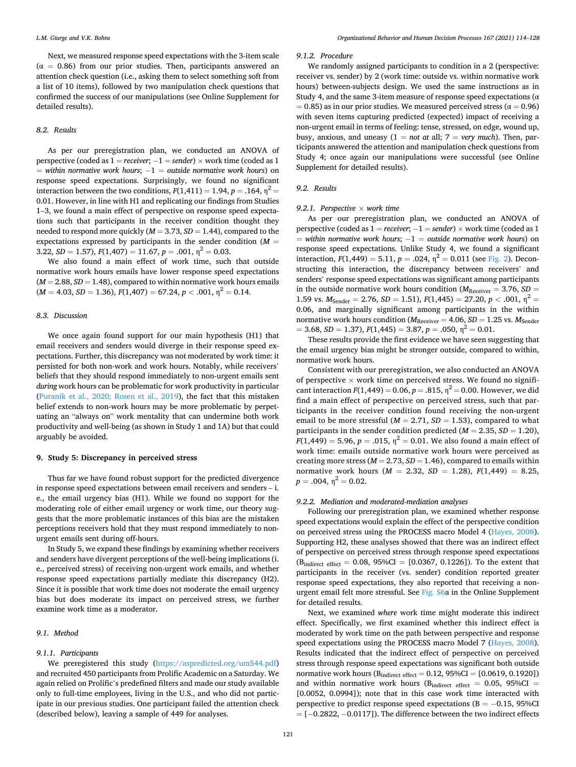Next, we measured response speed expectations with the 3-item scale  $(\alpha = 0.86)$  from our prior studies. Then, participants answered an attention check question (i.e., asking them to select something soft from a list of 10 items), followed by two manipulation check questions that confirmed the success of our manipulations (see Online Supplement for detailed results).

### *8.2. Results*

As per our preregistration plan, we conducted an ANOVA of perspective (coded as 1 = *receiver*; − 1 = *sender*) × work time (coded as 1 = *within normative work hours*; − 1 = *outside normative work hours*) on response speed expectations. Surprisingly, we found no significant interaction between the two conditions,  $F(1,411) = 1.94$ ,  $p = .164$ ,  $p^2 =$ 0.01. However, in line with H1 and replicating our findings from Studies 1–3, we found a main effect of perspective on response speed expectations such that participants in the receiver condition thought they needed to respond more quickly (*M* = 3.73, *SD* = 1.44), compared to the expectations expressed by participants in the sender condition  $(M =$ 3.22,  $SD = 1.57$ ,  $F(1,407) = 11.67$ ,  $p = .001$ ,  $\eta^2 = 0.03$ .

We also found a main effect of work time, such that outside normative work hours emails have lower response speed expectations  $(M = 2.88, SD = 1.48)$ , compared to within normative work hours emails  $(M = 4.03, SD = 1.36), F(1,407) = 67.24, p < .001, \eta^2 = 0.14.$ 

### *8.3. Discussion*

We once again found support for our main hypothesis (H1) that email receivers and senders would diverge in their response speed expectations. Further, this discrepancy was not moderated by work time: it persisted for both non-work and work hours. Notably, while receivers' beliefs that they should respond immediately to non-urgent emails sent *during* work hours can be problematic for work productivity in particular ([Puranik et al., 2020; Rosen et al., 2019\)](#page-14-0), the fact that this mistaken belief extends to non-work hours may be more problematic by perpetuating an "always on" work mentality that can undermine both work productivity and well-being (as shown in Study 1 and 1A) but that could arguably be avoided.

### **9. Study 5: Discrepancy in perceived stress**

Thus far we have found robust support for the predicted divergence in response speed expectations between email receivers and senders – i. e., the email urgency bias (H1). While we found no support for the moderating role of either email urgency or work time, our theory suggests that the more problematic instances of this bias are the mistaken perceptions receivers hold that they must respond immediately to nonurgent emails sent during off-hours.

In Study 5, we expand these findings by examining whether receivers and senders have divergent perceptions of the well-being implications (i. e., perceived stress) of receiving non-urgent work emails, and whether response speed expectations partially mediate this discrepancy (H2). Since it is possible that work time does not moderate the email urgency bias but does moderate its impact on perceived stress, we further examine work time as a moderator.

#### *9.1. Method*

#### *9.1.1. Participants*

We preregistered this study [\(https://aspredicted.org/um544.pdf\)](https://aspredicted.org/um544.pdf) and recruited 450 participants from Prolific Academic on a Saturday. We again relied on Prolific's predefined filters and made our study available only to full-time employees, living in the U.S., and who did not participate in our previous studies. One participant failed the attention check (described below), leaving a sample of 449 for analyses.

### *9.1.2. Procedure*

We randomly assigned participants to condition in a 2 (perspective: receiver vs. sender) by 2 (work time: outside vs. within normative work hours) between-subjects design. We used the same instructions as in Study 4, and the same 3-item measure of response speed expectations ( $\alpha$  $= 0.85$ ) as in our prior studies. We measured perceived stress ( $\alpha = 0.96$ ) with seven items capturing predicted (expected) impact of receiving a non-urgent email in terms of feeling: tense, stressed, on edge, wound up, busy, anxious, and uneasy  $(1 = not at all; 7 = very much)$ . Then, participants answered the attention and manipulation check questions from Study 4; once again our manipulations were successful (see Online Supplement for detailed results).

#### *9.2. Results*

#### *9.2.1. Perspective* × *work time*

As per our preregistration plan, we conducted an ANOVA of perspective (coded as 1 = *receiver*; − 1 = *sender*) × work time (coded as 1 = *within normative work hours*; − 1 = *outside normative work hours*) on response speed expectations. Unlike Study 4, we found a significant interaction,  $F(1,449) = 5.11$ ,  $p = .024$ ,  $\eta^2 = 0.011$  (see [Fig. 2](#page-8-0)). Deconstructing this interaction, the discrepancy between receivers' and senders' response speed expectations was significant among participants in the outside normative work hours condition ( $M_{\text{Receiver}} = 3.76$ ,  $SD =$ 1.59 vs.  $M_{\text{Sender}} = 2.76$ ,  $SD = 1.51$ ),  $F(1,445) = 27.20$ ,  $p < .001$ ,  $n^2 =$ 0.06, and marginally significant among participants in the within normative work hours condition ( $M_{\text{Receiver}}$  = 4.06, *SD* = 1.25 vs.  $M_{\text{Sender}}$  $= 3.68, SD = 1.37$ ,  $F(1,445) = 3.87, p = .050, \eta^2 = 0.01$ .

These results provide the first evidence we have seen suggesting that the email urgency bias might be stronger outside, compared to within, normative work hours.

Consistent with our preregistration, we also conducted an ANOVA of perspective  $\times$  work time on perceived stress. We found no significant interaction  $F(1,449) = 0.06$ ,  $p = .815$ ,  $\eta^2 = 0.00$ . However, we did find a main effect of perspective on perceived stress, such that participants in the receiver condition found receiving the non-urgent email to be more stressful ( $M = 2.71$ ,  $SD = 1.53$ ), compared to what participants in the sender condition predicted  $(M = 2.35, SD = 1.20)$ ,  $F(1,449) = 5.96, p = .015, \eta^2 = 0.01$ . We also found a main effect of work time: emails outside normative work hours were perceived as creating more stress  $(M = 2.73, SD = 1.46)$ , compared to emails within normative work hours  $(M = 2.32, SD = 1.28), F(1,449) = 8.25,$  $p = .004$ ,  $\eta^2 = 0.02$ .

### *9.2.2. Mediation and moderated-mediation analyses*

Following our preregistration plan, we examined whether response speed expectations would explain the effect of the perspective condition on perceived stress using the PROCESS macro Model 4 [\(Hayes, 2008](#page-13-0)). Supporting H2, these analyses showed that there was an indirect effect of perspective on perceived stress through response speed expectations  $(B_{indirect\ effect} = 0.08, 95\% CI = [0.0367, 0.1226]$ . To the extent that participants in the receiver (vs. sender) condition reported greater response speed expectations, they also reported that receiving a nonurgent email felt more stressful. See Fig. S6a in the Online Supplement for detailed results.

Next, we examined *where* work time might moderate this indirect effect. Specifically, we first examined whether this indirect effect is moderated by work time on the path between perspective and response speed expectations using the PROCESS macro Model 7 [\(Hayes, 2008](#page-13-0)). Results indicated that the indirect effect of perspective on perceived stress through response speed expectations was significant both outside normative work hours ( $B_{indirect\ effect} = 0.12$ ,  $95\%CI = [0.0619, 0.1920]$ ) and within normative work hours ( $B_{indirect\; effect} = 0.05, 95\% CI =$ [0.0052, 0.0994]); note that in this case work time interacted with perspective to predict response speed expectations ( $B = -0.15$ , 95%CI = [− 0.2822, − 0.0117]). The difference between the two indirect effects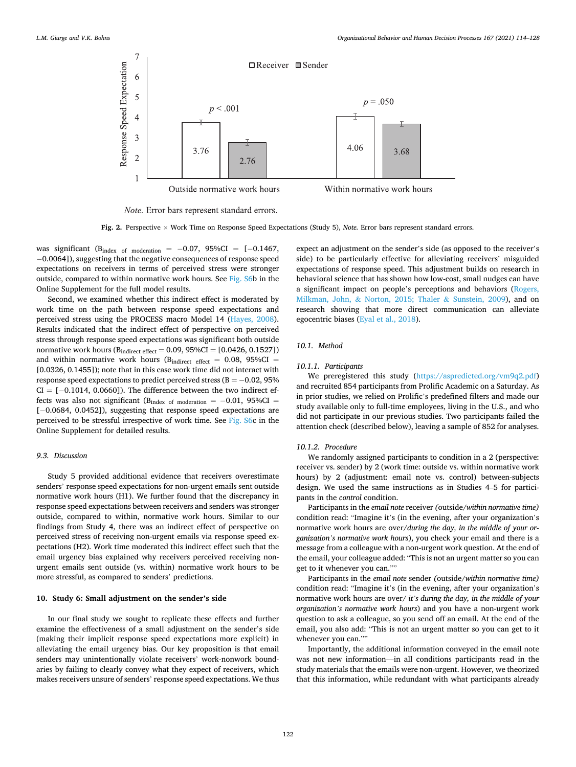<span id="page-8-0"></span>

Note. Error bars represent standard errors.

**Fig. 2.** Perspective × Work Time on Response Speed Expectations (Study 5), *Note.* Error bars represent standard errors.

was significant (Bindex of moderation =  $-0.07$ , 95%CI = [ $-0.1467$ , − 0.0064]), suggesting that the negative consequences of response speed expectations on receivers in terms of perceived stress were stronger outside, compared to within normative work hours. See Fig. S6b in the Online Supplement for the full model results.

Second, we examined whether this indirect effect is moderated by work time on the path between response speed expectations and perceived stress using the PROCESS macro Model 14 ([Hayes, 2008](#page-13-0)). Results indicated that the indirect effect of perspective on perceived stress through response speed expectations was significant both outside normative work hours  $(B_{indirect\ effect} = 0.09, 95\% CI = [0.0426, 0.1527])$ and within normative work hours ( $B_{indirect\ effect} = 0.08, 95\%CI =$ [0.0326, 0.1455]); note that in this case work time did not interact with response speed expectations to predict perceived stress (B = − 0.02, 95%  $CI = [-0.1014, 0.0660]$ . The difference between the two indirect effects was also not significant ( $B_{index of modulation} = -0.01$ , 95%CI = [ $-0.0684$ , 0.0452]), suggesting that response speed expectations are perceived to be stressful irrespective of work time. See Fig. S6c in the Online Supplement for detailed results.

### *9.3. Discussion*

Study 5 provided additional evidence that receivers overestimate senders' response speed expectations for non-urgent emails sent outside normative work hours (H1). We further found that the discrepancy in response speed expectations between receivers and senders was stronger outside, compared to within, normative work hours. Similar to our findings from Study 4, there was an indirect effect of perspective on perceived stress of receiving non-urgent emails via response speed expectations (H2). Work time moderated this indirect effect such that the email urgency bias explained why receivers perceived receiving nonurgent emails sent outside (vs. within) normative work hours to be more stressful, as compared to senders' predictions.

### **10. Study 6: Small adjustment on the sender's side**

In our final study we sought to replicate these effects and further examine the effectiveness of a small adjustment on the sender's side (making their implicit response speed expectations more explicit) in alleviating the email urgency bias. Our key proposition is that email senders may unintentionally violate receivers' work-nonwork boundaries by failing to clearly convey what they expect of receivers, which makes receivers unsure of senders' response speed expectations. We thus

expect an adjustment on the sender's side (as opposed to the receiver's side) to be particularly effective for alleviating receivers' misguided expectations of response speed. This adjustment builds on research in behavioral science that has shown how low-cost, small nudges can have a significant impact on people's perceptions and behaviors ([Rogers,](#page-14-0)  Milkman, John, & [Norton, 2015; Thaler](#page-14-0) & Sunstein, 2009), and on research showing that more direct communication can alleviate egocentric biases [\(Eyal et al., 2018\)](#page-13-0).

### *10.1. Method*

### *10.1.1. Participants*

We preregistered this study ([https://aspredicted.org/vm9q2.pdf\)](https://aspredicted.org/vm9q2.pdf) and recruited 854 participants from Prolific Academic on a Saturday. As in prior studies, we relied on Prolific's predefined filters and made our study available only to full-time employees, living in the U.S., and who did not participate in our previous studies. Two participants failed the attention check (described below), leaving a sample of 852 for analyses.

#### *10.1.2. Procedure*

We randomly assigned participants to condition in a 2 (perspective: receiver vs. sender) by 2 (work time: outside vs. within normative work hours) by 2 (adjustment: email note vs. control) between-subjects design. We used the same instructions as in Studies 4–5 for participants in the *control* condition.

Participants in the *email note* receiver *(*outside*/within normative time)*  condition read: "Imagine it's (in the evening, after your organization's normative work hours are over/*during the day, in the middle of your organization's normative work hours*), you check your email and there is a message from a colleague with a non-urgent work question. At the end of the email, your colleague added: "This is not an urgent matter so you can get to it whenever you can.""

Participants in the *email note* sender *(*outside*/within normative time)*  condition read: "Imagine it's (in the evening, after your organization's normative work hours are over/ *it's during the day, in the middle of your organization's normative work hours*) and you have a non-urgent work question to ask a colleague, so you send off an email. At the end of the email, you also add: "This is not an urgent matter so you can get to it whenever you can.""

Importantly, the additional information conveyed in the email note was not new information—in all conditions participants read in the study materials that the emails were non-urgent. However, we theorized that this information, while redundant with what participants already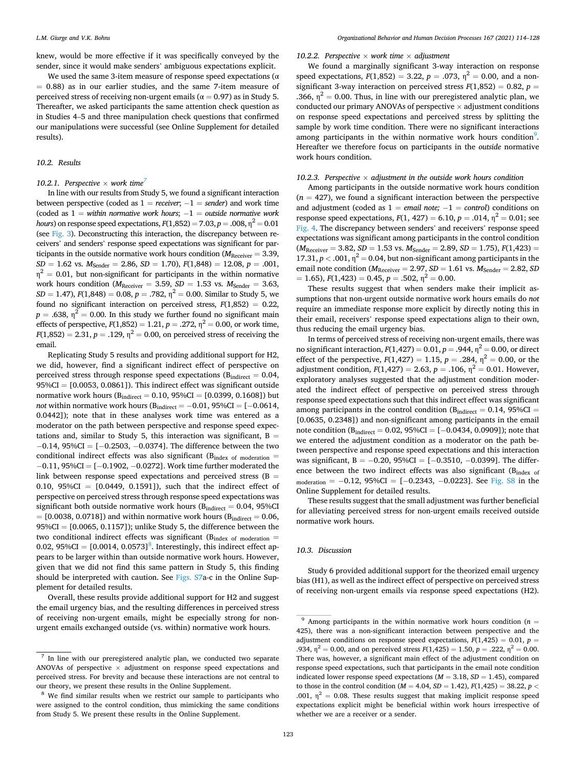knew, would be more effective if it was specifically conveyed by the sender, since it would make senders' ambiguous expectations explicit.

We used the same 3-item measure of response speed expectations ( $\alpha$  $= 0.88$ ) as in our earlier studies, and the same 7-item measure of perceived stress of receiving non-urgent emails ( $\alpha = 0.97$ ) as in Study 5. Thereafter, we asked participants the same attention check question as in Studies 4–5 and three manipulation check questions that confirmed our manipulations were successful (see Online Supplement for detailed results).

### *10.2. Results*

### 10.2.1. Perspective  $\times$  work time<sup>7</sup>

In line with our results from Study 5, we found a significant interaction between perspective (coded as  $1 = receiver$ ;  $-1 = sender$ ) and work time (coded as 1 = *within normative work hours*; − 1 = *outside normative work hours*) on response speed expectations,  $F(1,852) = 7.03$ ,  $p = .008$ ,  $n^2 = 0.01$ (see [Fig. 3](#page-10-0)). Deconstructing this interaction, the discrepancy between receivers' and senders' response speed expectations was significant for participants in the outside normative work hours condition ( $M_{\text{Receiver}} = 3.39$ ,  $SD = 1.62$  vs.  $M_{\text{Sender}} = 2.86$ ,  $SD = 1.70$ ),  $F(1,848) = 12.08$ ,  $p = .001$ ,  $\eta^2 = 0.01$ , but non-significant for participants in the within normative work hours condition ( $M_{\text{Receiver}} = 3.59$ ,  $SD = 1.53$  vs.  $M_{\text{Sender}} = 3.63$ , *SD* = 1.47),  $F(1,848) = 0.08$ ,  $p = .782$ ,  $\eta^2 = 0.00$ . Similar to Study 5, we found no significant interaction on perceived stress, *F*(1,852) = 0.22,  $p = .638$ ,  $\eta^2 = 0.00$ . In this study we further found no significant main effects of perspective,  $F(1,852) = 1.21$ ,  $p = .272$ ,  $\eta^2 = 0.00$ , or work time,  $F(1,852) = 2.31, p = .129, \eta^2 = 0.00$ , on perceived stress of receiving the email.

Replicating Study 5 results and providing additional support for H2, we did, however, find a significant indirect effect of perspective on perceived stress through response speed expectations ( $B_{indirect} = 0.04$ , 95%CI = [0.0053, 0.0861]). This indirect effect was significant outside normative work hours ( $B_{indirect} = 0.10$ ,  $95\%CI = [0.0399, 0.1608]$ ) but *not* within normative work hours ( $B_{indirect} = -0.01$ , 95%CI = [-0.0614, 0.0442]); note that in these analyses work time was entered as a moderator on the path between perspective and response speed expectations and, similar to Study 5, this interaction was significant,  $B =$  $-0.14$ , 95%CI = [ $-0.2503$ ,  $-0.0374$ ]. The difference between the two conditional indirect effects was also significant ( $B_{index of the model}$ ) = − 0.11, 95%CI = [− 0.1902, − 0.0272]. Work time further moderated the link between response speed expectations and perceived stress  $(B =$ 0.10,  $95\%CI = [0.0449, 0.1591]$ , such that the indirect effect of perspective on perceived stress through response speed expectations was significant both outside normative work hours ( $B<sub>indirect</sub> = 0.04$ , 95%CI  $=$  [0.0038, 0.0718]) and within normative work hours ( $B<sub>indirect</sub> = 0.06$ ,  $95\%CI = [0.0065, 0.1157]$ ; unlike Study 5, the difference between the two conditional indirect effects was significant ( $B_{index of the model}$  = 0.02, 95%CI =  $[0.0014, 0.0573]$ <sup>8</sup>. Interestingly, this indirect effect appears to be larger within than outside normative work hours. However, given that we did not find this same pattern in Study 5, this finding should be interpreted with caution. See Figs. S7a-c in the Online Supplement for detailed results.

Overall, these results provide additional support for H2 and suggest the email urgency bias, and the resulting differences in perceived stress of receiving non-urgent emails, might be especially strong for nonurgent emails exchanged outside (vs. within) normative work hours.

### 10.2.2. Perspective  $\times$  work time  $\times$  adjustment

We found a marginally significant 3-way interaction on response speed expectations,  $F(1,852) = 3.22$ ,  $p = .073$ ,  $\eta^2 = 0.00$ , and a nonsignificant 3-way interaction on perceived stress  $F(1,852) = 0.82$ ,  $p =$ .366,  $\eta^2 = 0.00$ . Thus, in line with our preregistered analytic plan, we conducted our primary ANOVAs of perspective  $\times$  adjustment conditions on response speed expectations and perceived stress by splitting the sample by work time condition. There were no significant interactions among participants in the within normative work hours condition<sup>9</sup>. Hereafter we therefore focus on participants in the *outside* normative work hours condition.

### *10.2.3. Perspective* × *adjustment in the outside work hours condition*

Among participants in the outside normative work hours condition  $(n = 427)$ , we found a significant interaction between the perspective and adjustment (coded as 1 = *email note*; −1 = *control*) conditions on response speed expectations,  $F(1, 427) = 6.10$ ,  $p = .014$ ,  $n^2 = 0.01$ ; see [Fig. 4](#page-10-0). The discrepancy between senders' and receivers' response speed expectations was significant among participants in the control condition  $(M_{\text{Receiver}} = 3.82, SD = 1.53 \text{ vs. } M_{\text{Sender}} = 2.89, SD = 1.75), F(1,423) =$ 17.31,  $p < .001$ ,  $\eta^2 = 0.04$ , but non-significant among participants in the email note condition ( $M_{\text{Receiver}} = 2.97$ ,  $SD = 1.61$  vs.  $M_{\text{Sender}} = 2.82$ ,  $SD$  $= 1.65$ ,  $F(1,423) = 0.45$ ,  $p = .502$ ,  $\eta^2 = 0.00$ .

These results suggest that when senders make their implicit assumptions that non-urgent outside normative work hours emails do *not*  require an immediate response more explicit by directly noting this in their email, receivers' response speed expectations align to their own, thus reducing the email urgency bias.

In terms of perceived stress of receiving non-urgent emails, there was no significant interaction,  $F(1,427) = 0.01$ ,  $p = .944$ ,  $\eta^2 = 0.00$ , or direct effect of the perspective,  $F(1,427) = 1.15$ ,  $p = .284$ ,  $\eta^2 = 0.00$ , or the adjustment condition,  $F(1,427) = 2.63$ ,  $p = .106$ ,  $\eta^2 = 0.01$ . However, exploratory analyses suggested that the adjustment condition moderated the indirect effect of perspective on perceived stress through response speed expectations such that this indirect effect was significant among participants in the control condition ( $B<sub>indirect</sub> = 0.14$ , 95%CI = [0.0635, 0.2348]) and non-significant among participants in the email note condition ( $B_{indirect} = 0.02$ , 95%CI = [-0.0434, 0.0909]); note that we entered the adjustment condition as a moderator on the path between perspective and response speed expectations and this interaction was significant,  $B = -0.20$ , 95%CI = [-0.3510, -0.0399]. The difference between the two indirect effects was also significant ( $B_{index}$  of moderation =  $-0.12$ , 95%CI = [ $-0.2343$ ,  $-0.0223$ ]. See Fig. S8 in the Online Supplement for detailed results.

These results suggest that the small adjustment was further beneficial for alleviating perceived stress for non-urgent emails received outside normative work hours.

### *10.3. Discussion*

Study 6 provided additional support for the theorized email urgency bias (H1), as well as the indirect effect of perspective on perceived stress of receiving non-urgent emails via response speed expectations (H2).

In line with our preregistered analytic plan, we conducted two separate ANOVAs of perspective  $\times$  adjustment on response speed expectations and perceived stress. For brevity and because these interactions are not central to our theory, we present these results in the Online Supplement.<br><sup>8</sup> We find similar results when we restrict our sample to participants who

were assigned to the control condition, thus mimicking the same conditions from Study 5. We present these results in the Online Supplement.

 $9$  Among participants in the within normative work hours condition ( $n =$ 425), there was a non-significant interaction between perspective and the adjustment conditions on response speed expectations,  $F(1,425) = 0.01$ ,  $p =$ .934,  $\eta^2 = 0.00$ , and on perceived stress  $F(1,425) = 1.50$ ,  $p = .222$ ,  $\eta^2 = 0.00$ . There was, however, a significant main effect of the adjustment condition on response speed expectations, such that participants in the email note condition indicated lower response speed expectations  $(M = 3.18, SD = 1.45)$ , compared to those in the control condition (*M* = 4.04, *SD* = 1.42), *F*(1,425) = 38.22, *p <* .001,  $\eta^2$  = 0.08. These results suggest that making implicit response speed expectations explicit might be beneficial within work hours irrespective of whether we are a receiver or a sender.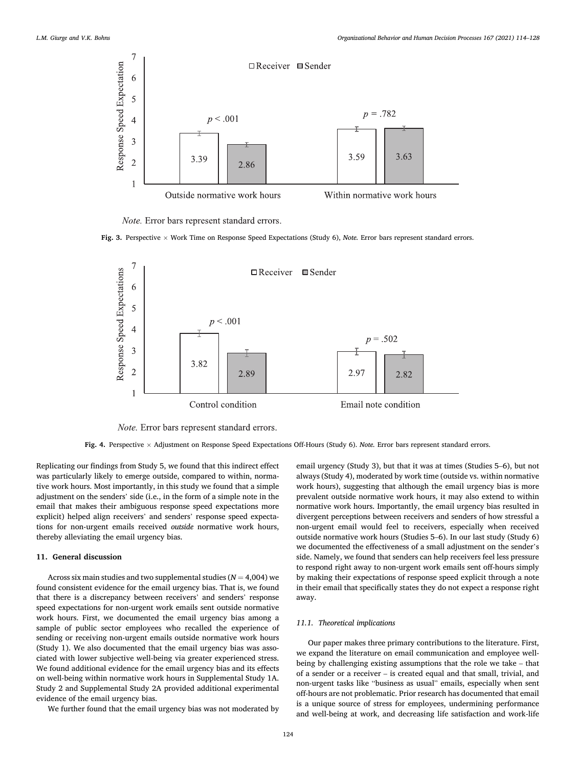<span id="page-10-0"></span>

*Note.* Error bars represent standard errors.





*Note*. Error bars represent standard errors.

**Fig. 4.** Perspective × Adjustment on Response Speed Expectations Off-Hours (Study 6). *Note.* Error bars represent standard errors.

Replicating our findings from Study 5, we found that this indirect effect was particularly likely to emerge outside, compared to within, normative work hours. Most importantly, in this study we found that a simple adjustment on the senders' side (i.e., in the form of a simple note in the email that makes their ambiguous response speed expectations more explicit) helped align receivers' and senders' response speed expectations for non-urgent emails received *outside* normative work hours, thereby alleviating the email urgency bias.

### **11. General discussion**

Across six main studies and two supplemental studies  $(N = 4,004)$  we found consistent evidence for the email urgency bias. That is, we found that there is a discrepancy between receivers' and senders' response speed expectations for non-urgent work emails sent outside normative work hours. First, we documented the email urgency bias among a sample of public sector employees who recalled the experience of sending or receiving non-urgent emails outside normative work hours (Study 1). We also documented that the email urgency bias was associated with lower subjective well-being via greater experienced stress. We found additional evidence for the email urgency bias and its effects on well-being within normative work hours in Supplemental Study 1A. Study 2 and Supplemental Study 2A provided additional experimental evidence of the email urgency bias.

We further found that the email urgency bias was not moderated by

email urgency (Study 3), but that it was at times (Studies 5–6), but not always (Study 4), moderated by work time (outside vs. within normative work hours), suggesting that although the email urgency bias is more prevalent outside normative work hours, it may also extend to within normative work hours. Importantly, the email urgency bias resulted in divergent perceptions between receivers and senders of how stressful a non-urgent email would feel to receivers, especially when received outside normative work hours (Studies 5–6). In our last study (Study 6) we documented the effectiveness of a small adjustment on the sender's side. Namely, we found that senders can help receivers feel less pressure to respond right away to non-urgent work emails sent off-hours simply by making their expectations of response speed explicit through a note in their email that specifically states they do not expect a response right away.

#### *11.1. Theoretical implications*

Our paper makes three primary contributions to the literature. First, we expand the literature on email communication and employee wellbeing by challenging existing assumptions that the role we take – that of a sender or a receiver – is created equal and that small, trivial, and non-urgent tasks like "business as usual" emails, especially when sent off-hours are not problematic. Prior research has documented that email is a unique source of stress for employees, undermining performance and well-being at work, and decreasing life satisfaction and work-life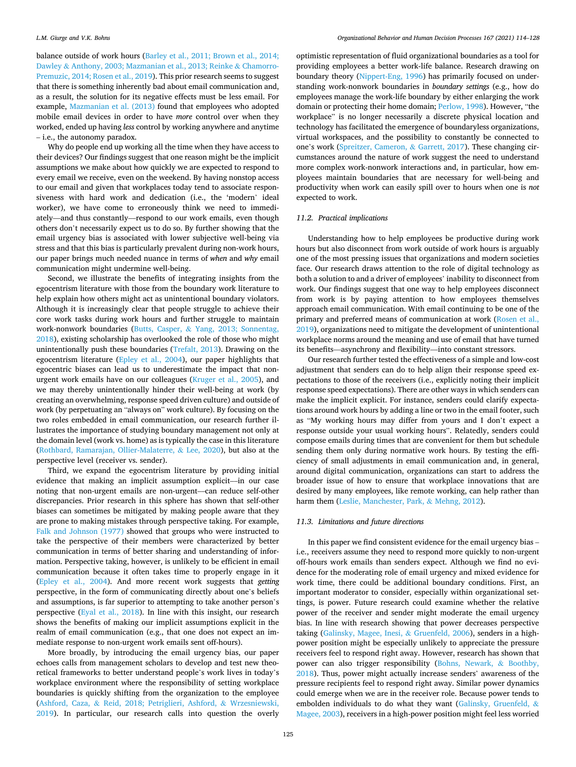balance outside of work hours [\(Barley et al., 2011; Brown et al., 2014;](#page-13-0)  Dawley & [Anthony, 2003; Mazmanian et al., 2013; Reinke](#page-13-0) & Chamorro-[Premuzic, 2014; Rosen et al., 2019\)](#page-13-0). This prior research seems to suggest that there is something inherently bad about email communication and, as a result, the solution for its negative effects must be less email. For example, [Mazmanian et al. \(2013\)](#page-13-0) found that employees who adopted mobile email devices in order to have *more* control over when they worked, ended up having *less* control by working anywhere and anytime – i.e., the autonomy paradox.

Why do people end up working all the time when they have access to their devices? Our findings suggest that one reason might be the implicit assumptions we make about how quickly we are expected to respond to every email we receive, even on the weekend. By having nonstop access to our email and given that workplaces today tend to associate responsiveness with hard work and dedication (i.e., the 'modern' ideal worker), we have come to erroneously think we need to immediately––and thus constantly––respond to our work emails, even though others don't necessarily expect us to do so. By further showing that the email urgency bias is associated with lower subjective well-being via stress and that this bias is particularly prevalent during non-work hours, our paper brings much needed nuance in terms of *when* and *why* email communication might undermine well-being.

Second, we illustrate the benefits of integrating insights from the egocentrism literature with those from the boundary work literature to help explain how others might act as unintentional boundary violators. Although it is increasingly clear that people struggle to achieve their core work tasks during work hours and further struggle to maintain work-nonwork boundaries (Butts, Casper, & [Yang, 2013; Sonnentag,](#page-13-0)  [2018\)](#page-13-0), existing scholarship has overlooked the role of those who might unintentionally push these boundaries [\(Trefalt, 2013](#page-14-0)). Drawing on the egocentrism literature [\(Epley et al., 2004](#page-13-0)), our paper highlights that egocentric biases can lead us to underestimate the impact that nonurgent work emails have on our colleagues [\(Kruger et al., 2005](#page-13-0)), and we may thereby unintentionally hinder their well-being at work (by creating an overwhelming, response speed driven culture) and outside of work (by perpetuating an "always on" work culture). By focusing on the two roles embedded in email communication, our research further illustrates the importance of studying boundary management not only at the domain level (work vs. home) as is typically the case in this literature ([Rothbard, Ramarajan, Ollier-Malaterre,](#page-14-0) & Lee, 2020), but also at the perspective level (receiver vs. sender).

Third, we expand the egocentrism literature by providing initial evidence that making an implicit assumption explicit––in our case noting that non-urgent emails are non-urgent––can reduce self-other discrepancies. Prior research in this sphere has shown that self-other biases can sometimes be mitigated by making people aware that they are prone to making mistakes through perspective taking. For example, [Falk and Johnson \(1977\)](#page-13-0) showed that groups who were instructed to take the perspective of their members were characterized by better communication in terms of better sharing and understanding of information. Perspective taking, however, is unlikely to be efficient in email communication because it often takes time to properly engage in it ([Epley et al., 2004\)](#page-13-0). And more recent work suggests that *getting*  perspective, in the form of communicating directly about one's beliefs and assumptions, is far superior to attempting to take another person's perspective ([Eyal et al., 2018](#page-13-0)). In line with this insight, our research shows the benefits of making our implicit assumptions explicit in the realm of email communication (e.g., that one does not expect an immediate response to non-urgent work emails sent off-hours).

More broadly, by introducing the email urgency bias, our paper echoes calls from management scholars to develop and test new theoretical frameworks to better understand people's work lives in today's workplace environment where the responsibility of setting workplace boundaries is quickly shifting from the organization to the employee (Ashford, Caza, & [Reid, 2018; Petriglieri, Ashford,](#page-13-0) & Wrzesniewski, [2019\)](#page-13-0). In particular, our research calls into question the overly

optimistic representation of fluid organizational boundaries as a tool for providing employees a better work-life balance. Research drawing on boundary theory ([Nippert-Eng, 1996](#page-13-0)) has primarily focused on understanding work-nonwork boundaries in *boundary settings* (e.g., how do employees manage the work-life boundary by either enlarging the work domain or protecting their home domain; [Perlow, 1998](#page-14-0)). However, "the workplace" is no longer necessarily a discrete physical location and technology has facilitated the emergence of boundaryless organizations, virtual workspaces, and the possibility to constantly be connected to one's work [\(Spreitzer, Cameron,](#page-14-0) & Garrett, 2017). These changing circumstances around the nature of work suggest the need to understand more complex work-nonwork interactions and, in particular, how employees maintain boundaries that are necessary for well-being and productivity when work can easily spill over to hours when one is *not*  expected to work.

### *11.2. Practical implications*

Understanding how to help employees be productive during work hours but also disconnect from work outside of work hours is arguably one of the most pressing issues that organizations and modern societies face. Our research draws attention to the role of digital technology as both a solution to and a driver of employees' inability to disconnect from work. Our findings suggest that one way to help employees disconnect from work is by paying attention to how employees themselves approach email communication. With email continuing to be one of the primary and preferred means of communication at work ([Rosen et al.,](#page-14-0)  [2019\)](#page-14-0), organizations need to mitigate the development of unintentional workplace norms around the meaning and use of email that have turned its benefits—asynchrony and flexibility—into constant stressors.

Our research further tested the effectiveness of a simple and low-cost adjustment that senders can do to help align their response speed expectations to those of the receivers (i.e., explicitly noting their implicit response speed expectations). There are other ways in which senders can make the implicit explicit. For instance, senders could clarify expectations around work hours by adding a line or two in the email footer, such as "My working hours may differ from yours and I don't expect a response outside your usual working hours". Relatedly, senders could compose emails during times that are convenient for them but schedule sending them only during normative work hours. By testing the efficiency of small adjustments in email communication and, in general, around digital communication, organizations can start to address the broader issue of how to ensure that workplace innovations that are desired by many employees, like remote working, can help rather than harm them ([Leslie, Manchester, Park,](#page-13-0) & Mehng, 2012).

### *11.3. Limitations and future directions*

In this paper we find consistent evidence for the email urgency bias – i.e., receivers assume they need to respond more quickly to non-urgent off-hours work emails than senders expect. Although we find no evidence for the moderating role of email urgency and mixed evidence for work time, there could be additional boundary conditions. First, an important moderator to consider, especially within organizational settings, is power. Future research could examine whether the relative power of the receiver and sender might moderate the email urgency bias. In line with research showing that power decreases perspective taking [\(Galinsky, Magee, Inesi,](#page-13-0) & Gruenfeld, 2006), senders in a highpower position might be especially unlikely to appreciate the pressure receivers feel to respond right away. However, research has shown that power can also trigger responsibility ([Bohns, Newark,](#page-13-0) & Boothby, [2018\)](#page-13-0). Thus, power might actually increase senders' awareness of the pressure recipients feel to respond right away. Similar power dynamics could emerge when we are in the receiver role. Because power tends to embolden individuals to do what they want [\(Galinsky, Gruenfeld,](#page-13-0) & [Magee, 2003\)](#page-13-0), receivers in a high-power position might feel less worried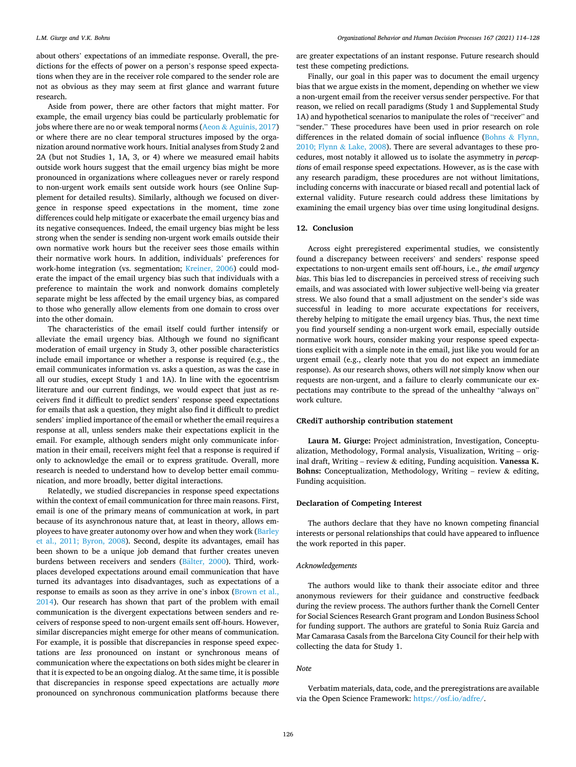about others' expectations of an immediate response. Overall, the predictions for the effects of power on a person's response speed expectations when they are in the receiver role compared to the sender role are not as obvious as they may seem at first glance and warrant future research.

Aside from power, there are other factors that might matter. For example, the email urgency bias could be particularly problematic for jobs where there are no or weak temporal norms (Aeon & [Aguinis, 2017\)](#page-13-0) or where there are no clear temporal structures imposed by the organization around normative work hours. Initial analyses from Study 2 and 2A (but not Studies 1, 1A, 3, or 4) where we measured email habits outside work hours suggest that the email urgency bias might be more pronounced in organizations where colleagues never or rarely respond to non-urgent work emails sent outside work hours (see Online Supplement for detailed results). Similarly, although we focused on divergence in response speed expectations in the moment, time zone differences could help mitigate or exacerbate the email urgency bias and its negative consequences. Indeed, the email urgency bias might be less strong when the sender is sending non-urgent work emails outside their own normative work hours but the receiver sees those emails within their normative work hours. In addition, individuals' preferences for work-home integration (vs. segmentation; [Kreiner, 2006](#page-13-0)) could moderate the impact of the email urgency bias such that individuals with a preference to maintain the work and nonwork domains completely separate might be less affected by the email urgency bias, as compared to those who generally allow elements from one domain to cross over into the other domain.

The characteristics of the email itself could further intensify or alleviate the email urgency bias. Although we found no significant moderation of email urgency in Study 3, other possible characteristics include email importance or whether a response is required (e.g., the email communicates information vs. asks a question, as was the case in all our studies, except Study 1 and 1A). In line with the egocentrism literature and our current findings, we would expect that just as receivers find it difficult to predict senders' response speed expectations for emails that ask a question, they might also find it difficult to predict senders' implied importance of the email or whether the email requires a response at all, unless senders make their expectations explicit in the email. For example, although senders might only communicate information in their email, receivers might feel that a response is required if only to acknowledge the email or to express gratitude. Overall, more research is needed to understand how to develop better email communication, and more broadly, better digital interactions.

Relatedly, we studied discrepancies in response speed expectations within the context of email communication for three main reasons. First, email is one of the primary means of communication at work, in part because of its asynchronous nature that, at least in theory, allows employees to have greater autonomy over how and when they work [\(Barley](#page-13-0)  [et al., 2011; Byron, 2008\)](#page-13-0). Second, despite its advantages, email has been shown to be a unique job demand that further creates uneven burdens between receivers and senders (Bälter, 2000). Third, workplaces developed expectations around email communication that have turned its advantages into disadvantages, such as expectations of a response to emails as soon as they arrive in one's inbox ([Brown et al.,](#page-13-0)  [2014\)](#page-13-0). Our research has shown that part of the problem with email communication is the divergent expectations between senders and receivers of response speed to non-urgent emails sent off-hours. However, similar discrepancies might emerge for other means of communication. For example, it is possible that discrepancies in response speed expectations are *less* pronounced on instant or synchronous means of communication where the expectations on both sides might be clearer in that it is expected to be an ongoing dialog. At the same time, it is possible that discrepancies in response speed expectations are actually *more*  pronounced on synchronous communication platforms because there are greater expectations of an instant response. Future research should test these competing predictions.

Finally, our goal in this paper was to document the email urgency bias that we argue exists in the moment, depending on whether we view a non-urgent email from the receiver versus sender perspective. For that reason, we relied on recall paradigms (Study 1 and Supplemental Study 1A) and hypothetical scenarios to manipulate the roles of "receiver" and "sender." These procedures have been used in prior research on role differences in the related domain of social influence ([Bohns](#page-13-0)  $\&$  Flynn, [2010; Flynn](#page-13-0) & Lake, 2008). There are several advantages to these procedures, most notably it allowed us to isolate the asymmetry in *perceptions* of email response speed expectations. However, as is the case with any research paradigm, these procedures are not without limitations, including concerns with inaccurate or biased recall and potential lack of external validity. Future research could address these limitations by examining the email urgency bias over time using longitudinal designs.

### **12. Conclusion**

Across eight preregistered experimental studies, we consistently found a discrepancy between receivers' and senders' response speed expectations to non-urgent emails sent off-hours, i.e., *the email urgency bias*. This bias led to discrepancies in perceived stress of receiving such emails, and was associated with lower subjective well-being via greater stress. We also found that a small adjustment on the sender's side was successful in leading to more accurate expectations for receivers, thereby helping to mitigate the email urgency bias. Thus, the next time you find yourself sending a non-urgent work email, especially outside normative work hours, consider making your response speed expectations explicit with a simple note in the email, just like you would for an urgent email (e.g., clearly note that you do not expect an immediate response). As our research shows, others will *not* simply know when our requests are non-urgent, and a failure to clearly communicate our expectations may contribute to the spread of the unhealthy "always on" work culture.

#### **CRediT authorship contribution statement**

**Laura M. Giurge:** Project administration, Investigation, Conceptualization, Methodology, Formal analysis, Visualization, Writing – original draft, Writing – review & editing, Funding acquisition. **Vanessa K. Bohns:** Conceptualization, Methodology, Writing – review & editing, Funding acquisition.

### **Declaration of Competing Interest**

The authors declare that they have no known competing financial interests or personal relationships that could have appeared to influence the work reported in this paper.

### *Acknowledgements*

The authors would like to thank their associate editor and three anonymous reviewers for their guidance and constructive feedback during the review process. The authors further thank the Cornell Center for Social Sciences Research Grant program and London Business School for funding support. The authors are grateful to Sonia Ruiz Garcia and Mar Camarasa Casals from the Barcelona City Council for their help with collecting the data for Study 1.

#### *Note*

Verbatim materials, data, code, and the preregistrations are available via the Open Science Framework: [https://osf.io/adfre/.](https://osf.io/adfre/)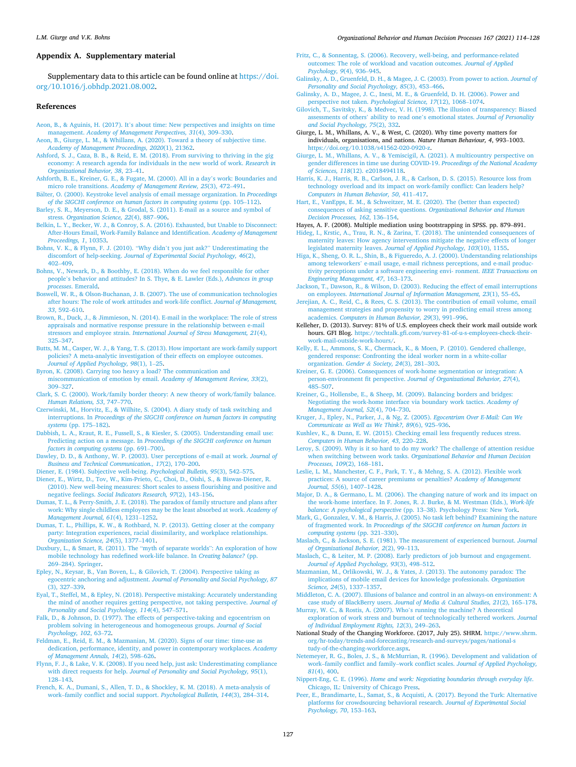#### *Organizational Behavior and Human Decision Processes 167 (2021) 114–128*

#### <span id="page-13-0"></span>**Appendix A. Supplementary material**

Supplementary data to this article can be found online at [https://doi.](https://doi.org/10.1016/j.obhdp.2021.08.002)  [org/10.1016/j.obhdp.2021.08.002](https://doi.org/10.1016/j.obhdp.2021.08.002).

### **References**

- Aeon, B., & Aguinis, H. (2017). It'[s about time: New perspectives and insights on time](http://refhub.elsevier.com/S0749-5978(21)00080-7/h0005)  management. *[Academy of Management Perspectives, 31](http://refhub.elsevier.com/S0749-5978(21)00080-7/h0005)*(4), 309–330.
- [Aeon, B., Giurge, L. M., & Whillans, A. \(2020\). Toward a theory of subjective time.](http://refhub.elsevier.com/S0749-5978(21)00080-7/h0010) *[Academy of Management Proceedings, 2020](http://refhub.elsevier.com/S0749-5978(21)00080-7/h0010)*(1), 21362.
- [Ashford, S. J., Caza, B. B., & Reid, E. M. \(2018\). From surviving to thriving in the gig](http://refhub.elsevier.com/S0749-5978(21)00080-7/h0015)  [economy: A research agenda for individuals in the new world of work.](http://refhub.elsevier.com/S0749-5978(21)00080-7/h0015) *Research in [Organizational Behavior, 38](http://refhub.elsevier.com/S0749-5978(21)00080-7/h0015)*, 23–41.
- [Ashforth, B. E., Kreiner, G. E., & Fugate, M. \(2000\). All in a day](http://refhub.elsevier.com/S0749-5978(21)00080-7/h0020)'s work: Boundaries and micro role transitions. *[Academy of Management Review, 25](http://refhub.elsevier.com/S0749-5978(21)00080-7/h0020)*(3), 472–491.
- Bälter, [O. \(2000\). Keystroke level analysis of email message organization. In](http://refhub.elsevier.com/S0749-5978(21)00080-7/h0025) *Proceedings [of the SIGCHI conference on human factors in computing systems](http://refhub.elsevier.com/S0749-5978(21)00080-7/h0025) (pp. 105–112).*
- [Barley, S. R., Meyerson, D. E., & Grodal, S. \(2011\). E-mail as a source and symbol of](http://refhub.elsevier.com/S0749-5978(21)00080-7/h0030)  stress. *[Organization Science, 22](http://refhub.elsevier.com/S0749-5978(21)00080-7/h0030)*(4), 887–906.
- [Belkin, L. Y., Becker, W. J., & Conroy, S. A. \(2016\). Exhausted, but Unable to Disconnect:](http://refhub.elsevier.com/S0749-5978(21)00080-7/h0040)  [After-Hours Email, Work-Family Balance and Identification.](http://refhub.elsevier.com/S0749-5978(21)00080-7/h0040) *Academy of Management [Proceedings, 1](http://refhub.elsevier.com/S0749-5978(21)00080-7/h0040)*, 10353.
- [Bohns, V. K., & Flynn, F. J. \(2010\).](http://refhub.elsevier.com/S0749-5978(21)00080-7/h0045) "Why didn't you just ask?" Underestimating the discomfort of help-seeking. *[Journal of Experimental Social Psychology, 46](http://refhub.elsevier.com/S0749-5978(21)00080-7/h0045)*(2), 402–[409](http://refhub.elsevier.com/S0749-5978(21)00080-7/h0045).
- [Bohns, V., Newark, D., & Boothby, E. \(2018\). When do we feel responsible for other](http://refhub.elsevier.com/S0749-5978(21)00080-7/h0050) people'[s behavior and attitudes? In S. Thye, & E. Lawler \(Eds.\),](http://refhub.elsevier.com/S0749-5978(21)00080-7/h0050) *Advances in group processes*[. Emerald](http://refhub.elsevier.com/S0749-5978(21)00080-7/h0050).
- [Boswell, W. R., & Olson-Buchanan, J. B. \(2007\). The use of communication technologies](http://refhub.elsevier.com/S0749-5978(21)00080-7/h0055)  [after hours: The role of work attitudes and work-life conflict.](http://refhub.elsevier.com/S0749-5978(21)00080-7/h0055) *Journal of Management, 33*[, 592](http://refhub.elsevier.com/S0749-5978(21)00080-7/h0055)–610.
- [Brown, R., Duck, J., & Jimmieson, N. \(2014\). E-mail in the workplace: The role of stress](http://refhub.elsevier.com/S0749-5978(21)00080-7/h0060)  [appraisals and normative response pressure in the relationship between e-mail](http://refhub.elsevier.com/S0749-5978(21)00080-7/h0060)  stressors and employee strain. *[International Journal of Stress Management, 21](http://refhub.elsevier.com/S0749-5978(21)00080-7/h0060)*(4), 325–[347](http://refhub.elsevier.com/S0749-5978(21)00080-7/h0060).
- [Butts, M. M., Casper, W. J., & Yang, T. S. \(2013\). How important are work-family support](http://refhub.elsevier.com/S0749-5978(21)00080-7/h0065)  policies? A meta-analytic investigation of their effects on employee outcome *[Journal of Applied Psychology, 98](http://refhub.elsevier.com/S0749-5978(21)00080-7/h0065)*(1), 1–25.
- [Byron, K. \(2008\). Carrying too heavy a load? The communication and](http://refhub.elsevier.com/S0749-5978(21)00080-7/h0070) [miscommunication of emotion by email.](http://refhub.elsevier.com/S0749-5978(21)00080-7/h0070) *Academy of Management Review, 33*(2), 309–[327](http://refhub.elsevier.com/S0749-5978(21)00080-7/h0070).
- [Clark, S. C. \(2000\). Work/family border theory: A new theory of work/family balance.](http://refhub.elsevier.com/S0749-5978(21)00080-7/h0075)  *[Human Relations, 53](http://refhub.elsevier.com/S0749-5978(21)00080-7/h0075)*, 747–770.
- [Czerwinski, M., Horvitz, E., & Wilhite, S. \(2004\). A diary study of task switching and](http://refhub.elsevier.com/S0749-5978(21)00080-7/h0080) interruptions. In *[Proceedings of the SIGCHI conference on human factors in computing](http://refhub.elsevier.com/S0749-5978(21)00080-7/h0080)  systems* [\(pp. 175](http://refhub.elsevier.com/S0749-5978(21)00080-7/h0080)–182).
- [Dabbish, L. A., Kraut, R. E., Fussell, S., & Kiesler, S. \(2005\). Understanding email use:](http://refhub.elsevier.com/S0749-5978(21)00080-7/h0085)  Predicting action on a message. In *[Proceedings of the SIGCHI conference on human](http://refhub.elsevier.com/S0749-5978(21)00080-7/h0085)  [factors in computing systems](http://refhub.elsevier.com/S0749-5978(21)00080-7/h0085)* (pp. 691–700).
- [Dawley, D. D., & Anthony, W. P. \(2003\). User perceptions of e-mail at work.](http://refhub.elsevier.com/S0749-5978(21)00080-7/h0090) *Journal of [Business and Technical Communication., 17](http://refhub.elsevier.com/S0749-5978(21)00080-7/h0090)*(2), 170–200.
- [Diener, E. \(1984\). Subjective well-being.](http://refhub.elsevier.com/S0749-5978(21)00080-7/h0095) *Psychological Bulletin, 95*(3), 542–575.
- [Diener, E., Wirtz, D., Tov, W., Kim-Prieto, C., Choi, D., Oishi, S., & Biswas-Diener, R.](http://refhub.elsevier.com/S0749-5978(21)00080-7/h0100) [\(2010\). New well-being measures: Short scales to assess flourishing and positive and](http://refhub.elsevier.com/S0749-5978(21)00080-7/h0100)  negative feelings. *[Social Indicators Research, 97](http://refhub.elsevier.com/S0749-5978(21)00080-7/h0100)*(2), 143–156.
- [Dumas, T. L., & Perry-Smith, J. E. \(2018\). The paradox of family structure and plans after](http://refhub.elsevier.com/S0749-5978(21)00080-7/h0105)  [work: Why single childless employees may be the least absorbed at work.](http://refhub.elsevier.com/S0749-5978(21)00080-7/h0105) *Academy of [Management Journal, 61](http://refhub.elsevier.com/S0749-5978(21)00080-7/h0105)*(4), 1231–1252.
- [Dumas, T. L., Phillips, K. W., & Rothbard, N. P. \(2013\). Getting closer at the company](http://refhub.elsevier.com/S0749-5978(21)00080-7/h0110)  [party: Integration experiences, racial dissimilarity, and workplace relationships.](http://refhub.elsevier.com/S0749-5978(21)00080-7/h0110) *[Organization Science, 24](http://refhub.elsevier.com/S0749-5978(21)00080-7/h0110)*(5), 1377–1401.
- [Duxbury, L., & Smart, R. \(2011\). The](http://refhub.elsevier.com/S0749-5978(21)00080-7/h0115) "myth of separate worlds": An exploration of how [mobile technology has redefined work-life balance. In](http://refhub.elsevier.com/S0749-5978(21)00080-7/h0115) *Creating balance?* (pp. 269–[284\). Springer](http://refhub.elsevier.com/S0749-5978(21)00080-7/h0115).
- [Epley, N., Keysar, B., Van Boven, L., & Gilovich, T. \(2004\). Perspective taking as](http://refhub.elsevier.com/S0749-5978(21)00080-7/h0120) egocentric anchoring and adjustment. *[Journal of Personality and Social Psychology, 87](http://refhub.elsevier.com/S0749-5978(21)00080-7/h0120)*  [\(3\), 327](http://refhub.elsevier.com/S0749-5978(21)00080-7/h0120)–339.
- [Eyal, T., Steffel, M., & Epley, N. \(2018\). Perspective mistaking: Accurately understanding](http://refhub.elsevier.com/S0749-5978(21)00080-7/h0125)  [the mind of another requires getting perspective, not taking perspective.](http://refhub.elsevier.com/S0749-5978(21)00080-7/h0125) *Journal of [Personality and Social Psychology, 114](http://refhub.elsevier.com/S0749-5978(21)00080-7/h0125)*(4), 547–571.
- [Falk, D., & Johnson, D. \(1977\). The effects of perspective-taking and egocentrism on](http://refhub.elsevier.com/S0749-5978(21)00080-7/h0130) [problem solving in heterogeneous and homogeneous groups.](http://refhub.elsevier.com/S0749-5978(21)00080-7/h0130) *Journal of Social [Psychology, 102](http://refhub.elsevier.com/S0749-5978(21)00080-7/h0130)*, 63–72.
- [Feldman, E., Reid, E. M., & Mazmanian, M. \(2020\). Signs of our time: time-use as](http://refhub.elsevier.com/S0749-5978(21)00080-7/h0135) [dedication, performance, identity, and power in contemporary workplaces.](http://refhub.elsevier.com/S0749-5978(21)00080-7/h0135) *Academy [of Management Annals, 14](http://refhub.elsevier.com/S0749-5978(21)00080-7/h0135)*(2), 598–626.
- [Flynn, F. J., & Lake, V. K. \(2008\). If you need help, just ask: Underestimating compliance](http://refhub.elsevier.com/S0749-5978(21)00080-7/h0140)  with direct requests for help. *[Journal of Personality and Social Psychology, 95](http://refhub.elsevier.com/S0749-5978(21)00080-7/h0140)*(1), 128–[143](http://refhub.elsevier.com/S0749-5978(21)00080-7/h0140).
- [French, K. A., Dumani, S., Allen, T. D., & Shockley, K. M. \(2018\). A meta-analysis of](http://refhub.elsevier.com/S0749-5978(21)00080-7/h0145) work–[family conflict and social support.](http://refhub.elsevier.com/S0749-5978(21)00080-7/h0145) *Psychological Bulletin, 144*(3), 284–314.
- [Fritz, C., & Sonnentag, S. \(2006\). Recovery, well-being, and performance-related](http://refhub.elsevier.com/S0749-5978(21)00080-7/h0150)  [outcomes: The role of workload and vacation outcomes.](http://refhub.elsevier.com/S0749-5978(21)00080-7/h0150) *Journal of Applied [Psychology, 9](http://refhub.elsevier.com/S0749-5978(21)00080-7/h0150)*(4), 936–945.
- [Galinsky, A. D., Gruenfeld, D. H., & Magee, J. C. \(2003\). From power to action.](http://refhub.elsevier.com/S0749-5978(21)00080-7/h0155) *Journal of [Personality and Social Psychology, 85](http://refhub.elsevier.com/S0749-5978(21)00080-7/h0155)*(3), 453–466.
- [Galinsky, A. D., Magee, J. C., Inesi, M. E., & Gruenfeld, D. H. \(2006\). Power and](http://refhub.elsevier.com/S0749-5978(21)00080-7/h0160) perspective not taken. *[Psychological Science, 17](http://refhub.elsevier.com/S0749-5978(21)00080-7/h0160)*(12), 1068–1074.
- [Gilovich, T., Savitsky, K., & Medvec, V. H. \(1998\). The illusion of transparency: Biased](http://refhub.elsevier.com/S0749-5978(21)00080-7/h0165)  [assessments of others](http://refhub.elsevier.com/S0749-5978(21)00080-7/h0165)' ability to read one's emotional states. *Journal of Personality [and Social Psychology, 75](http://refhub.elsevier.com/S0749-5978(21)00080-7/h0165)*(2), 332.
- Giurge, L. M., Whillans, A. V., & West, C. (2020). Why time poverty matters for individuals, organisations, and nations. *Nature Human Behaviour, 4*, 993–1003. <https://doi.org/10.1038/s41562-020-0920-z>.
- [Giurge, L. M., Whillans, A. V., & Yemiscigil, A. \(2021\). A multicountry perspective on](http://refhub.elsevier.com/S0749-5978(21)00080-7/optktS1qR5BXa) [gender differences in time use during COVID-19.](http://refhub.elsevier.com/S0749-5978(21)00080-7/optktS1qR5BXa) *Proceedings of the National Academy of Sciences, 118*[\(12\). e2018494118](http://refhub.elsevier.com/S0749-5978(21)00080-7/optktS1qR5BXa).
- [Harris, K. J., Harris, R. B., Carlson, J. R., & Carlson, D. S. \(2015\). Resource loss from](http://refhub.elsevier.com/S0749-5978(21)00080-7/h0180)  [technology overload and its impact on work-family conflict: Can leaders help?](http://refhub.elsevier.com/S0749-5978(21)00080-7/h0180) *[Computers in Human Behavior, 50](http://refhub.elsevier.com/S0749-5978(21)00080-7/h0180)*, 411–417.
- [Hart, E., VanEpps, E. M., & Schweitzer, M. E. \(2020\). The \(better than expected\)](http://refhub.elsevier.com/S0749-5978(21)00080-7/h0185) [consequences of asking sensitive questions.](http://refhub.elsevier.com/S0749-5978(21)00080-7/h0185) *Organizational Behavior and Human [Decision Processes, 162](http://refhub.elsevier.com/S0749-5978(21)00080-7/h0185)*, 136–154.
- Hayes, A. F. (2008). Multiple mediation using bootstrapping in SPSS. pp. 879–891.
- [Hideg, I., Krstic, A., Trau, R. N., & Zarina, T. \(2018\). The unintended consequences of](http://refhub.elsevier.com/S0749-5978(21)00080-7/h0195)  [maternity leaves: How agency interventions mitigate the negative effects of longer](http://refhub.elsevier.com/S0749-5978(21)00080-7/h0195) legislated maternity leaves. *[Journal of Applied Psychology, 103](http://refhub.elsevier.com/S0749-5978(21)00080-7/h0195)*(10), 1155.
- [Higa, K., Sheng, O. R. L., Shin, B., & Figueredo, A. J. \(2000\). Understanding relationships](http://refhub.elsevier.com/S0749-5978(21)00080-7/h0200)  among teleworkers' [e-mail usage, e-mail richness perceptions, and e-mail produc](http://refhub.elsevier.com/S0749-5978(21)00080-7/h0200)[tivity perceptions under a software engineering envi- ronment.](http://refhub.elsevier.com/S0749-5978(21)00080-7/h0200) *IEEE Transactions on [Engineering Management, 47](http://refhub.elsevier.com/S0749-5978(21)00080-7/h0200)*, 163–173.
- [Jackson, T., Dawson, R., & Wilson, D. \(2003\). Reducing the effect of email interruptions](http://refhub.elsevier.com/S0749-5978(21)00080-7/h0205)  on employees. *[International Journal of Information Management, 23](http://refhub.elsevier.com/S0749-5978(21)00080-7/h0205)*(1), 55–65.
- [Jerejian, A. C., Reid, C., & Rees, C. S. \(2013\). The contribution of email volume, email](http://refhub.elsevier.com/S0749-5978(21)00080-7/h0210)  [management strategies and propensity to worry in predicting email stress among](http://refhub.elsevier.com/S0749-5978(21)00080-7/h0210)  academics. *[Computers in Human Behavior, 29](http://refhub.elsevier.com/S0749-5978(21)00080-7/h0210)*(3), 991–996.
- Kelleher, D. (2013). Survey: 81% of U.S. employees check their work mail outside work hours. GFI Blog. [https://techtalk.gfi.com/survey-81-of-u-s-employees-check-their](https://techtalk.gfi.com/survey-81-of-u-s-employees-check-their-work-mail-outside-work-hours/)[work-mail-outside-work-hours/](https://techtalk.gfi.com/survey-81-of-u-s-employees-check-their-work-mail-outside-work-hours/).
- [Kelly, E. L., Ammons, S. K., Chermack, K., & Moen, P. \(2010\). Gendered challenge,](http://refhub.elsevier.com/S0749-5978(21)00080-7/h0220) [gendered response: Confronting the ideal worker norm in a white-collar](http://refhub.elsevier.com/S0749-5978(21)00080-7/h0220) [organization.](http://refhub.elsevier.com/S0749-5978(21)00080-7/h0220) *Gender & Society, 24*(3), 281–303.
- [Kreiner, G. E. \(2006\). Consequences of work-home segmentation or integration: A](http://refhub.elsevier.com/S0749-5978(21)00080-7/h0225)  person-environment fit perspective. *[Journal of Organizational Behavior, 27](http://refhub.elsevier.com/S0749-5978(21)00080-7/h0225)*(4),  $485 - 507$  $485 - 507$ .
- [Kreiner, G., Hollensbe, E., & Sheep, M. \(2009\). Balancing borders and bridges:](http://refhub.elsevier.com/S0749-5978(21)00080-7/h0230)  [Negotiating the work-home interface via boundary work tactics.](http://refhub.elsevier.com/S0749-5978(21)00080-7/h0230) *Academy of [Management Journal, 52](http://refhub.elsevier.com/S0749-5978(21)00080-7/h0230)*(4), 704–730.
- [Kruger, J., Epley, N., Parker, J., & Ng, Z. \(2005\).](http://refhub.elsevier.com/S0749-5978(21)00080-7/h0235) *Egocentrism Over E-Mail: Can We [Communicate as Well as We Think?, 89](http://refhub.elsevier.com/S0749-5978(21)00080-7/h0235)*(6), 925–936.
- [Kushlev, K., & Dunn, E. W. \(2015\). Checking email less frequently reduces stress.](http://refhub.elsevier.com/S0749-5978(21)00080-7/h0240)  *[Computers in Human Behavior, 43](http://refhub.elsevier.com/S0749-5978(21)00080-7/h0240)*, 220–228.
- [Leroy, S. \(2009\). Why is it so hard to do my work? The challenge of attention residue](http://refhub.elsevier.com/S0749-5978(21)00080-7/h0245)  when switching between work tasks. *[Organizational Behavior and Human Decision](http://refhub.elsevier.com/S0749-5978(21)00080-7/h0245)  [Processes, 109](http://refhub.elsevier.com/S0749-5978(21)00080-7/h0245)*(2), 168–181.
- [Leslie, L. M., Manchester, C. F., Park, T. Y., & Mehng, S. A. \(2012\). Flexible work](http://refhub.elsevier.com/S0749-5978(21)00080-7/h0250)  [practices: A source of career premiums or penalties?](http://refhub.elsevier.com/S0749-5978(21)00080-7/h0250) *Academy of Management [Journal, 55](http://refhub.elsevier.com/S0749-5978(21)00080-7/h0250)*(6), 1407–1428.
- [Major, D. A., & Germano, L. M. \(2006\). The changing nature of work and its impact on](http://refhub.elsevier.com/S0749-5978(21)00080-7/h0255)  [the work-home interface. In F. Jones, R. J. Burke, & M. Westman \(Eds.\),](http://refhub.elsevier.com/S0749-5978(21)00080-7/h0255) *Work-life [balance: A psychological perspective](http://refhub.elsevier.com/S0749-5978(21)00080-7/h0255)* (pp. 13–38). Psychology Press: New York.
- [Mark, G., Gonzalez, V. M., & Harris, J. \(2005\). No task left behind? Examining the nature](http://refhub.elsevier.com/S0749-5978(21)00080-7/h0260)  of fragmented work. In *[Proceedings of the SIGCHI conference on human factors in](http://refhub.elsevier.com/S0749-5978(21)00080-7/h0260)  [computing systems](http://refhub.elsevier.com/S0749-5978(21)00080-7/h0260)* (pp. 321–330).
- [Maslach, C., & Jackson, S. E. \(1981\). The measurement of experienced burnout.](http://refhub.elsevier.com/S0749-5978(21)00080-7/h0265) *Journal [of Organizational Behavior, 2](http://refhub.elsevier.com/S0749-5978(21)00080-7/h0265)*(2), 99–113.
- [Maslach, C., & Leiter, M. P. \(2008\). Early predictors of job burnout and engagement.](http://refhub.elsevier.com/S0749-5978(21)00080-7/h0270)
- *[Journal of Applied Psychology, 93](http://refhub.elsevier.com/S0749-5978(21)00080-7/h0270)*(3), 498–512. [Mazmanian, M., Orlikowski, W. J., & Yates, J. \(2013\). The autonomy paradox: The](http://refhub.elsevier.com/S0749-5978(21)00080-7/h0275) [implications of mobile email devices for knowledge professionals.](http://refhub.elsevier.com/S0749-5978(21)00080-7/h0275) *Organization [Science, 24](http://refhub.elsevier.com/S0749-5978(21)00080-7/h0275)*(5), 1337–1357.
- [Middleton, C. A. \(2007\). Illusions of balance and control in an always-on environment: A](http://refhub.elsevier.com/S0749-5978(21)00080-7/h0280)  [case study of BlackBerry users.](http://refhub.elsevier.com/S0749-5978(21)00080-7/h0280) *Journal of Media & Cultural Studies, 21*(2), 165–178.
- [Murray, W. C., & Rostis, A. \(2007\). Who](http://refhub.elsevier.com/S0749-5978(21)00080-7/h0285)'s running the machine? A theoretical [exploration of work stress and burnout of technologically tethered workers.](http://refhub.elsevier.com/S0749-5978(21)00080-7/h0285) *Journal [of Individual Employment Rights, 12](http://refhub.elsevier.com/S0749-5978(21)00080-7/h0285)*(3), 249–263.
- National Study of the Changing Workforce. (2017, July 25). SHRM. [https://www.shrm.](https://www.shrm.org/hr-today/trends-and-forecasting/research-and-surveys/pages/national-study-of-the-changing-workforce.aspx)  [org/hr-today/trends-and-forecasting/research-and-surveys/pages/national-s](https://www.shrm.org/hr-today/trends-and-forecasting/research-and-surveys/pages/national-study-of-the-changing-workforce.aspx) [tudy-of-the-changing-workforce.aspx.](https://www.shrm.org/hr-today/trends-and-forecasting/research-and-surveys/pages/national-study-of-the-changing-workforce.aspx)
- [Netemeyer, R. G., Boles, J. S., & McMurrian, R. \(1996\). Development and validation of](http://refhub.elsevier.com/S0749-5978(21)00080-7/h0295) work–family conflict and family–work conflict scales. *[Journal of Applied Psychology,](http://refhub.elsevier.com/S0749-5978(21)00080-7/h0295)  81*[\(4\), 400.](http://refhub.elsevier.com/S0749-5978(21)00080-7/h0295)
- Nippert-Eng, C. E. (1996). *[Home and work: Negotiating boundaries through everyday life](http://refhub.elsevier.com/S0749-5978(21)00080-7/h0300)*. [Chicago, IL: University of Chicago Press.](http://refhub.elsevier.com/S0749-5978(21)00080-7/h0300)
- [Peer, E., Brandimarte, L., Samat, S., & Acquisti, A. \(2017\). Beyond the Turk: Alternative](http://refhub.elsevier.com/S0749-5978(21)00080-7/h0305)  [platforms for crowdsourcing behavioral research.](http://refhub.elsevier.com/S0749-5978(21)00080-7/h0305) *Journal of Experimental Social [Psychology, 70](http://refhub.elsevier.com/S0749-5978(21)00080-7/h0305)*, 153–163.